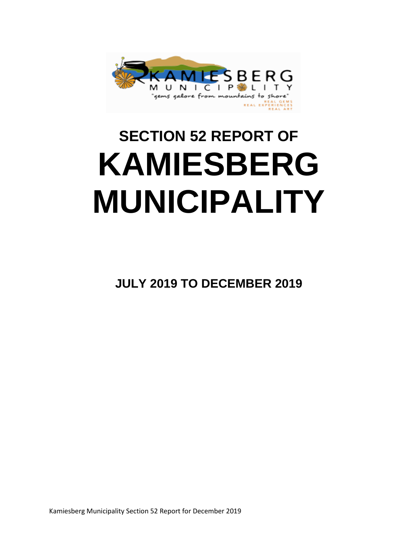

# **SECTION 52 REPORT OF KAMIESBERG MUNICIPALITY**

**JULY 2019 TO DECEMBER 2019**

Kamiesberg Municipality Section 52 Report for December 2019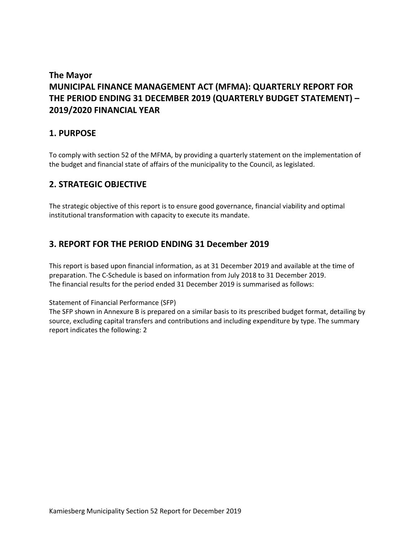# **The Mayor MUNICIPAL FINANCE MANAGEMENT ACT (MFMA): QUARTERLY REPORT FOR THE PERIOD ENDING 31 DECEMBER 2019 (QUARTERLY BUDGET STATEMENT) – 2019/2020 FINANCIAL YEAR**

## **1. PURPOSE**

To comply with section 52 of the MFMA, by providing a quarterly statement on the implementation of the budget and financial state of affairs of the municipality to the Council, as legislated.

## **2. STRATEGIC OBJECTIVE**

The strategic objective of this report is to ensure good governance, financial viability and optimal institutional transformation with capacity to execute its mandate.

## **3. REPORT FOR THE PERIOD ENDING 31 December 2019**

This report is based upon financial information, as at 31 December 2019 and available at the time of preparation. The C-Schedule is based on information from July 2018 to 31 December 2019. The financial results for the period ended 31 December 2019 is summarised as follows:

Statement of Financial Performance (SFP)

The SFP shown in Annexure B is prepared on a similar basis to its prescribed budget format, detailing by source, excluding capital transfers and contributions and including expenditure by type. The summary report indicates the following: 2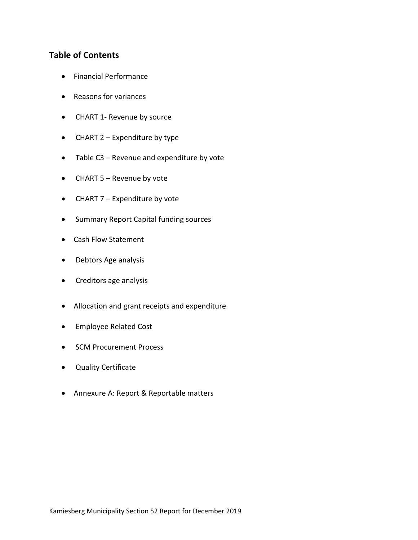## **Table of Contents**

- Financial Performance
- Reasons for variances
- CHART 1- Revenue by source
- CHART 2 Expenditure by type
- Table C3 Revenue and expenditure by vote
- CHART 5 Revenue by vote
- CHART 7 Expenditure by vote
- Summary Report Capital funding sources
- Cash Flow Statement
- Debtors Age analysis
- Creditors age analysis
- Allocation and grant receipts and expenditure
- **•** Employee Related Cost
- SCM Procurement Process
- Quality Certificate
- Annexure A: Report & Reportable matters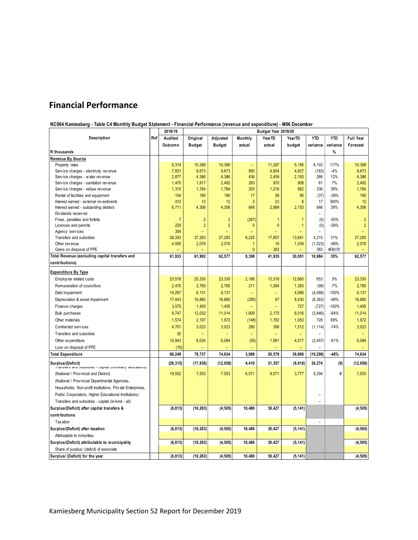# **Financial Performance**

#### **NC064 Kamiesberg - Table C4 Monthly Budget Statement - Financial Performance (revenue and expenditure) - M06 December**

|                                                                               |     | 2018/19        | Budget Year 2019/20 |                |                          |                          |                 |                |            |                          |
|-------------------------------------------------------------------------------|-----|----------------|---------------------|----------------|--------------------------|--------------------------|-----------------|----------------|------------|--------------------------|
| Description                                                                   | Ref | Audited        | Original            | Adjusted       | Monthly                  | YearTD                   | YearTD          | <b>YTD</b>     | <b>YTD</b> | <b>Full Year</b>         |
|                                                                               |     | Outcome        | Budget              | <b>Budget</b>  | actual                   | actual                   | budget          | variance       | variance   | Forecast                 |
| R thousands                                                                   |     |                |                     |                |                          |                          |                 |                | $\%$       |                          |
| Revenue By Source                                                             |     |                |                     |                |                          |                          |                 |                |            |                          |
| Property rates                                                                |     | 8,314          | 10,389              | 10,389         | $\overline{\phantom{a}}$ | 11,297                   | 5,195           | 6,103          | 117%       | 10,389                   |
| Service charges - electricity revenue                                         |     | 7,831          | 9,673               | 9,673          | 850                      | 4,654                    | 4,837           | (183)          | $-4%$      | 9,673                    |
| Service charges - water revenue                                               |     | 2,877          | 4,386               | 4,386          | 436                      | 2,459                    | 2,193           | 266            | 12%        | 4,386                    |
| Service charges - sanitation revenue                                          |     | 1,470          | 1,817               | 2,492          | 283                      | 970                      | 908             | 61             | 7%         | 2,492                    |
| Service charges - refuse revenue                                              |     | 1,315          | 1,764               | 1,764          | 203                      | 1,218                    | 882             | 336            | 38%        | 1,764                    |
| Rental of facilities and equipment                                            |     | 104            | 190                 | 190            | 17                       | 58                       | 95              | (37)           | $-39%$     | 190                      |
| Interest earned - external investments                                        |     | 412            | 12                  | 12             | $\overline{2}$           | 23                       | $6\phantom{1}6$ | 17             | 300%       | 12                       |
| Interest earned - outstanding debtors                                         |     | 6,711          | 4,306               | 4,306          | 648                      | 2,999                    | 2,153           | 846            | 39%        | 4,306                    |
| Dividends received                                                            |     |                |                     |                |                          |                          |                 |                |            |                          |
| Fines, penalties and forfeits                                                 |     | $\overline{7}$ | $\overline{c}$      | $\overline{2}$ | (267)                    | $\overline{1}$           | 1               | (0)            | -50%       | $\overline{2}$           |
| Licences and permits                                                          |     | 229            | $\overline{2}$      | $\overline{2}$ | 0                        | $\mathbf{0}$             | $\mathbf{1}$    | (0)            | $-59%$     | $\overline{2}$           |
| Agency services                                                               |     | 354            |                     |                |                          | ۳                        |                 |                |            |                          |
| Transfers and subsidies                                                       |     | 28,303         | 27,283              | 27,283         | 6,225                    | 17,857                   | 13,641          | 4,215          | 31%        | 27,283                   |
| Other revenue                                                                 |     | 4,005          | 2,078               | 2,078          | 1                        | 16                       | 1,039           | (1,023)        | $-98%$     | 2,078                    |
| Gains on disposal of PPE                                                      |     |                |                     |                | $\mathbf{0}$             | 383                      |                 | 383            | #DIV/0!    |                          |
| Total Revenue (excluding capital transfers and                                |     | 61,933         | 61,902              | 62,577         | 8,398                    | 41,935                   | 30,951          | 10,984         | 35%        | 62,577                   |
| contributions)                                                                |     |                |                     |                |                          |                          |                 |                |            |                          |
| <b>Expenditure By Type</b>                                                    |     |                |                     |                |                          |                          |                 |                |            |                          |
| Employ ee related costs                                                       |     | 23,518         | 25,330              | 23,330         | 2,186                    | 13,318                   | 12,665          | 653            | 5%         | 23,330                   |
| Remuneration of councillors                                                   |     | 2,476          | 2,765               | 2,765          | 211                      | 1,284                    | 1,383           | (99)           | $-7%$      | 2,765                    |
| Debt impairment                                                               |     | 14,267         | 8,131               | 8,131          | $\qquad \qquad -$        |                          | 4,066           | (4,066)        | $-100%$    | 8,131                    |
| Depreciation & asset impairment                                               |     | 17,443         | 16,860              | 16,860         | (295)                    | 67                       | 8,430           | (8, 363)       | -99%       | 16,860                   |
| Finance charges                                                               |     | 3,575          | 1,455               | 1,455          | $\qquad \qquad -$        | $\overline{\phantom{m}}$ | 727             | (727)          | 100%       | 1,455                    |
| <b>Bulk purchases</b>                                                         |     | 9,747          | 12,032              | 11,014         | 1,809                    | 2,170                    | 6,016           | (3, 846)       | $-64%$     | 11,014                   |
|                                                                               |     |                |                     |                |                          |                          |                 |                | 69%        | 1,972                    |
| Other materials                                                               |     | 1,574          | 2,107               | 1,972          | (148)                    | 1,782                    | 1,053           | 728            |            |                          |
| Contracted services                                                           |     | 4,701          | 3,023               | 3,023          | 280                      | 398                      | 1,512           | (1, 114)       | $-74%$     | 3,023                    |
| Transfers and subsidies                                                       |     | 20             | -                   | $\equiv$       | $\overline{\phantom{0}}$ | $\overline{\phantom{a}}$ | $\equiv$        | $\equiv$       |            | $\overline{\phantom{m}}$ |
| Other ex penditure                                                            |     | 10,943         | 8,034               | 6,084          | (55)                     | 1,561                    | 4,017           | (2, 457)       | $-61%$     | 6,084                    |
| Loss on disposal of PPE                                                       |     | (16)           |                     |                |                          |                          |                 |                |            |                          |
| <b>Total Expenditure</b>                                                      |     | 88,249         | 79,737              | 74,634         | 3,988                    | 20,579                   | 39,869          | (19, 290)      | $-48%$     | 74,634                   |
| Surplus/(Deficit)<br>rransiers and subsidies - capital (monetary allocations) |     | (26, 315)      | (17, 836)           | (12, 058)      | 4,410                    | 21,357                   | (8,918)         | 30,274         | (0)        | (12, 058)                |
| (National / Provincial and District)                                          |     | 19,502         | 7,553               | 7,553          | 6,071                    | 9,071                    | 3,777           | 5,294          | 0          | 7,553                    |
| (National / Provincial Departmental Agencies,                                 |     |                |                     |                |                          |                          |                 |                |            |                          |
| Households, Non-profit Institutions, Private Enterprises,                     |     |                |                     |                |                          |                          |                 |                |            |                          |
| Public Corporatons, Higher Educational Institutions)                          |     |                |                     |                |                          |                          |                 | -              |            |                          |
| Transfers and subsidies - capital (in-kind - all)                             |     |                |                     |                |                          |                          |                 |                |            |                          |
| Surplus/(Deficit) after capital transfers &                                   |     | (6, 813)       | (10, 283)           | (4, 505)       | 10,480                   | 30,427                   | (5, 141)        |                |            | (4, 505)                 |
| contributions                                                                 |     |                |                     |                |                          |                          |                 |                |            |                          |
|                                                                               |     |                |                     |                |                          |                          |                 | $\overline{a}$ |            |                          |
| <b>Tax ation</b>                                                              |     |                |                     |                |                          |                          |                 |                |            |                          |
| Surplus/(Deficit) after taxation                                              |     | (6, 813)       | (10, 283)           | (4, 505)       | 10,480                   | 30,427                   | (5, 141)        |                |            | (4, 505)                 |
| Attributable to minorities                                                    |     |                |                     |                |                          |                          |                 |                |            |                          |
| Surplus/(Deficit) attributable to municipality                                |     | (6, 813)       | (10, 283)           | (4, 505)       | 10,480                   | 30,427                   | (5, 141)        |                |            | (4, 505)                 |
| Share of surplus/ (deficit) of associate                                      |     |                |                     |                |                          |                          |                 |                |            |                          |
| Surplus/ (Deficit) for the year                                               |     | (6, 813)       | (10, 283)           | (4, 505)       | 10,480                   | 30,427                   | (5, 141)        |                |            | (4, 505)                 |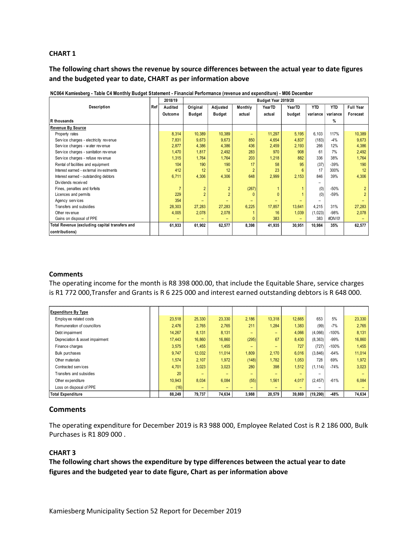#### **CHART 1**

**The following chart shows the revenue by source differences between the actual year to date figures and the budgeted year to date, CHART as per information above**

|                                                |     | 2018/19<br>Budget Year 2019/20 |                |                |                          |        |        |            |            |                  |  |
|------------------------------------------------|-----|--------------------------------|----------------|----------------|--------------------------|--------|--------|------------|------------|------------------|--|
| Description                                    | Ref | Audited                        | Original       | Adjusted       | Monthly                  | YearTD | YearTD | <b>YTD</b> | <b>YTD</b> | <b>Full Year</b> |  |
|                                                |     | Outcome                        | <b>Budget</b>  | <b>Budget</b>  | actual                   | actual | budget | variance   | variance   | Forecast         |  |
| R thousands                                    |     |                                |                |                |                          |        |        |            | %          |                  |  |
| <b>Revenue By Source</b>                       |     |                                |                |                |                          |        |        |            |            |                  |  |
| Property rates                                 |     | 8,314                          | 10,389         | 10,389         | $\overline{\phantom{0}}$ | 11,297 | 5,195  | 6,103      | 117%       | 10,389           |  |
| Service charges - electricity revenue          |     | 7,831                          | 9,673          | 9,673          | 850                      | 4,654  | 4,837  | (183)      | $-4%$      | 9,673            |  |
| Service charges - water revenue                |     | 2,877                          | 4,386          | 4,386          | 436                      | 2,459  | 2,193  | 266        | 12%        | 4,386            |  |
| Service charges - sanitation revenue           |     | 1,470                          | 1.817          | 2,492          | 283                      | 970    | 908    | 61         | 7%         | 2,492            |  |
| Service charges - refuse revenue               |     | 1,315                          | 1,764          | 1,764          | 203                      | 1,218  | 882    | 336        | 38%        | 1,764            |  |
| Rental of facilities and equipment             |     | 104                            | 190            | 190            | 17                       | 58     | 95     | (37)       | $-39%$     | 190              |  |
| Interest earned - external investments         |     | 412                            | 12             | 12             | $\overline{2}$           | 23     | 6      | 17         | 300%       | 12               |  |
| Interest earned - outstanding debtors          |     | 6,711                          | 4,306          | 4,306          | 648                      | 2,999  | 2,153  | 846        | 39%        | 4,306            |  |
| Dividends received                             |     |                                |                |                |                          |        |        |            |            |                  |  |
| Fines, penalties and forfeits                  |     |                                | $\overline{2}$ | $\overline{2}$ | (267)                    |        |        | (0)        | $-50%$     | $\overline{2}$   |  |
| Licences and permits                           |     | 229                            | $\overline{2}$ | $\overline{2}$ | $\Omega$                 |        |        | (0)        | $-59%$     | $\overline{2}$   |  |
| Agency services                                |     | 354                            |                |                |                          |        |        |            |            |                  |  |
| Transfers and subsidies                        |     | 28,303                         | 27,283         | 27,283         | 6,225                    | 17,857 | 13,641 | 4,215      | 31%        | 27,283           |  |
| Other revenue                                  |     | 4,005                          | 2,078          | 2,078          |                          | 16     | 1,039  | (1,023)    | $-98%$     | 2.078            |  |
| Gains on disposal of PPE                       |     |                                |                |                | 0                        | 383    |        | 383        | #DIV/0!    |                  |  |
| Total Revenue (excluding capital transfers and |     | 61,933                         | 61,902         | 62,577         | 8,398                    | 41,935 | 30,951 | 10,984     | 35%        | 62,577           |  |
| contributions)                                 |     |                                |                |                |                          |        |        |            |            |                  |  |

|  | NC064 Kamiesberg - Table C4 Monthly Budget Statement - Financial Performance (revenue and expenditure) - M06 December |  |  |
|--|-----------------------------------------------------------------------------------------------------------------------|--|--|
|  |                                                                                                                       |  |  |

#### **Comments**

The operating income for the month is R8 398 000.00, that include the Equitable Share, service charges

| is R1 772 000, Transfer and Grants is R 6 225 000 and interest earned outstanding debtors is R 648 000. |  |        |        |        |       |        |        |           |         |        |
|---------------------------------------------------------------------------------------------------------|--|--------|--------|--------|-------|--------|--------|-----------|---------|--------|
|                                                                                                         |  |        |        |        |       |        |        |           |         |        |
|                                                                                                         |  |        |        |        |       |        |        |           |         |        |
| <b>Expenditure By Type</b>                                                                              |  |        |        |        |       |        |        |           |         |        |
| Employ ee related costs                                                                                 |  | 23,518 | 25,330 | 23,330 | 2,186 | 13,318 | 12,665 | 653       | 5%      | 23,330 |
| Remuneration of councillors                                                                             |  | 2.476  | 2,765  | 2,765  | 211   | 1,284  | 1,383  | (99)      | $-7%$   | 2,765  |
| Debt impairment                                                                                         |  | 14,267 | 8,131  | 8,131  |       |        | 4,066  | (4,066)   | -100%   | 8,131  |
| Depreciation & asset impairment                                                                         |  | 17,443 | 16,860 | 16,860 | (295) | 67     | 8,430  | (8, 363)  | $-99%$  | 16,860 |
| Finance charges                                                                                         |  | 3,575  | 1,455  | 1,455  |       |        | 727    | (727)     | $-100%$ | 1,455  |
| <b>Bulk purchases</b>                                                                                   |  | 9.747  | 12,032 | 11,014 | 1,809 | 2,170  | 6,016  | (3,846)   | $-64%$  | 11,014 |
| Other materials                                                                                         |  | 1,574  | 2,107  | 1,972  | (148) | 1,782  | 1,053  | 728       | 69%     | 1,972  |
| Contracted services                                                                                     |  | 4,701  | 3,023  | 3,023  | 280   | 398    | 1,512  | (1, 114)  | $-74%$  | 3,023  |
| Transfers and subsidies                                                                                 |  | 20     |        |        |       |        |        |           |         |        |
| Other expenditure                                                                                       |  | 10,943 | 8,034  | 6,084  | (55)  | 1,561  | 4,017  | (2, 457)  | $-61%$  | 6,084  |
| Loss on disposal of PPE                                                                                 |  | (16)   |        |        |       |        |        |           |         |        |
| <b>Total Expenditure</b>                                                                                |  | 88,249 | 79,737 | 74,634 | 3,988 | 20,579 | 39,869 | (19, 290) | -48%    | 74,634 |

#### **Comments**

The operating expenditure for December 2019 is R3 988 000, Employee Related Cost is R 2 186 000, Bulk Purchases is R1 809 000 .

#### **CHART 3**

**The following chart shows the expenditure by type differences between the actual year to date figures and the budgeted year to date figure, Chart as per information above**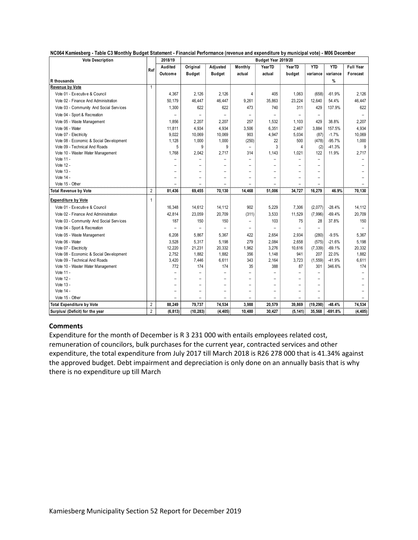|  |  | NC064 Kamiesberg - Table C3 Monthly Budget Statement - Financial Performance (revenue and expenditure by municipal vote) - M06 December |
|--|--|-----------------------------------------------------------------------------------------------------------------------------------------|
|  |  |                                                                                                                                         |

| <b>Vote Description</b>                 |                | 2018/19                  | Budget Year 2019/20      |                          |                          |                          |                          |                          |            |                          |
|-----------------------------------------|----------------|--------------------------|--------------------------|--------------------------|--------------------------|--------------------------|--------------------------|--------------------------|------------|--------------------------|
|                                         | Ref            | Audited                  | Original                 | Adjusted                 | Monthly                  | YearTD                   | <b>YearTD</b>            | <b>YTD</b>               | <b>YTD</b> | Full Year                |
|                                         |                | Outcome                  | <b>Budget</b>            | <b>Budget</b>            | actual                   | actual                   | budget                   | variance                 | variance   | Forecast                 |
| R thousands                             |                |                          |                          |                          |                          |                          |                          |                          | %          |                          |
| <b>Revenue by Vote</b>                  | $\mathbf{1}$   |                          |                          |                          |                          |                          |                          |                          |            |                          |
| Vote 01 - Executive & Council           |                | 4,367                    | 2.126                    | 2.126                    | 4                        | 405                      | 1.063                    | (658)                    | $-61.9%$   | 2,126                    |
| Vote 02 - Finance And Administration    |                | 50,179                   | 46,447                   | 46,447                   | 9,261                    | 35.863                   | 23,224                   | 12,640                   | 54.4%      | 46,447                   |
| Vote 03 - Community And Social Services |                | 1,300                    | 622                      | 622                      | 473                      | 740                      | 311                      | 429                      | 137.9%     | 622                      |
| Vote 04 - Sport & Recreation            |                |                          | $\overline{\phantom{0}}$ | $\overline{\phantom{a}}$ |                          |                          |                          | $\overline{\phantom{0}}$ |            | $\overline{\phantom{a}}$ |
| Vote 05 - Waste Management              |                | 1,856                    | 2,207                    | 2,207                    | 257                      | 1,532                    | 1,103                    | 429                      | 38.8%      | 2,207                    |
| Vote 06 - Water                         |                | 11,811                   | 4,934                    | 4,934                    | 3,506                    | 6,351                    | 2,467                    | 3.884                    | 157.5%     | 4,934                    |
| Vote 07 - Electricity                   |                | 9,022                    | 10,069                   | 10,069                   | 903                      | 4,947                    | 5,034                    | (87)                     | $-1.7%$    | 10,069                   |
| Vote 08 - Economic & Social Development |                | 1,128                    | 1,000                    | 1,000                    | (250)                    | 22                       | 500                      | (478)                    | $-95.7%$   | 1,000                    |
| Vote 09 - Technical And Roads           |                | 5                        | 9                        | 9                        |                          | 3                        | 4                        | (2)                      | $-41.3%$   | 9                        |
| Vote 10 - Waster Water Management       |                | 1,768                    | 2,042                    | 2,717                    | 314                      | 1,143                    | 1,021                    | 122                      | 11.9%      | 2,717                    |
| Vote 11 -                               |                |                          |                          |                          |                          |                          |                          | $\overline{\phantom{0}}$ |            |                          |
| Vote 12 -                               |                | $\overline{\phantom{0}}$ | $\overline{\phantom{0}}$ | $\overline{a}$           | $\overline{\phantom{0}}$ | $\overline{\phantom{0}}$ | $\overline{\phantom{0}}$ | $\overline{a}$           |            |                          |
| Vote 13 -                               |                | $\overline{\phantom{0}}$ | $\overline{a}$           | $\equiv$                 | $\overline{\phantom{0}}$ | $\overline{\phantom{0}}$ |                          | $\overline{\phantom{0}}$ |            |                          |
| Vote 14 -                               |                | $\overline{\phantom{0}}$ | $\overline{\phantom{0}}$ | $\qquad \qquad -$        | $\overline{\phantom{0}}$ | $\overline{\phantom{0}}$ | $\overline{\phantom{0}}$ | $\overline{\phantom{0}}$ |            |                          |
| Vote 15 - Other                         |                |                          |                          |                          |                          |                          |                          |                          |            |                          |
| <b>Total Revenue by Vote</b>            | $\overline{2}$ | 81,436                   | 69,455                   | 70,130                   | 14,468                   | 51,006                   | 34,727                   | 16,279                   | 46.9%      | 70,130                   |
| <b>Expenditure by Vote</b>              | 1              |                          |                          |                          |                          |                          |                          |                          |            |                          |
| Vote 01 - Executive & Council           |                | 16,348                   | 14,612                   | 14,112                   | 902                      | 5,229                    | 7,306                    | (2,077)                  | $-28.4%$   | 14,112                   |
| Vote 02 - Finance And Administration    |                | 42,814                   | 23,059                   | 20,709                   | (311)                    | 3,533                    | 11,529                   | (7,996)                  | $-69.4%$   | 20,709                   |
| Vote 03 - Community And Social Services |                | 187                      | 150                      | 150                      | $\overline{\phantom{0}}$ | 103                      | 75                       | 28                       | 37.8%      | 150                      |
| Vote 04 - Sport & Recreation            |                |                          |                          |                          |                          |                          |                          | $\qquad \qquad -$        |            |                          |
| Vote 05 - Waste Management              |                | 6,208                    | 5,867                    | 5,367                    | 422                      | 2,654                    | 2,934                    | (280)                    | $-9.5%$    | 5,367                    |
| Vote 06 - Water                         |                | 3,528                    | 5,317                    | 5,198                    | 279                      | 2,084                    | 2.658                    | (575)                    | $-21.6%$   | 5,198                    |
| Vote 07 - Electricity                   |                | 12,220                   | 21,231                   | 20,332                   | 1,962                    | 3,276                    | 10,616                   | (7, 339)                 | $-69.1%$   | 20,332                   |
| Vote 08 - Economic & Social Development |                | 2,752                    | 1,882                    | 1,882                    | 356                      | 1,148                    | 941                      | 207                      | 22.0%      | 1,882                    |
| Vote 09 - Technical And Roads           |                | 3,420                    | 7,446                    | 6,611                    | 343                      | 2,164                    | 3,723                    | (1, 559)                 | $-41.9%$   | 6,611                    |
| Vote 10 - Waster Water Management       |                | 772                      | 174                      | 174                      | 35                       | 388                      | 87                       | 301                      | 346.6%     | 174                      |
| Vote 11 -                               |                | $\overline{a}$           | $\overline{a}$           | $\overline{\phantom{0}}$ | $\overline{a}$           | $\overline{a}$           | $\overline{\phantom{0}}$ | $\overline{\phantom{0}}$ |            | $\overline{\phantom{0}}$ |
| Vote 12 -                               |                |                          |                          | $\qquad \qquad -$        | $\overline{\phantom{0}}$ |                          | $\overline{\phantom{0}}$ | $\overline{\phantom{0}}$ |            |                          |
| Vote 13 -                               |                |                          | $\overline{\phantom{0}}$ | $\overline{\phantom{a}}$ | $\overline{\phantom{0}}$ | $\overline{\phantom{0}}$ | $\overline{\phantom{0}}$ | $\overline{\phantom{0}}$ |            |                          |
| Vote 14 -                               |                | $\overline{\phantom{0}}$ | $\overline{\phantom{0}}$ | $\overline{\phantom{a}}$ | $\overline{\phantom{a}}$ | $\overline{\phantom{0}}$ | $\overline{\phantom{0}}$ | $\qquad \qquad -$        |            |                          |
| Vote 15 - Other                         |                |                          |                          |                          |                          |                          |                          | $\overline{\phantom{0}}$ |            |                          |
| <b>Total Expenditure by Vote</b>        | $\overline{2}$ | 88,249                   | 79,737                   | 74,534                   | 3,988                    | 20,579                   | 39,869                   | (19, 290)                | $-48.4%$   | 74,534                   |
| Surplus/ (Deficit) for the year         | $\overline{2}$ | (6, 813)                 | (10, 283)                | (4, 405)                 | 10,480                   | 30.427                   | (5, 141)                 | 35.568                   | $-691.8%$  | (4, 405)                 |

#### **Comments**

Expenditure for the month of December is R 3 231 000 with entails employees related cost, remuneration of councilors, bulk purchases for the current year, contracted services and other expenditure, the total expenditure from July 2017 till March 2018 is R26 278 000 that is 41.34% against the approved budget. Debt impairment and depreciation is only done on an annually basis that is why there is no expenditure up till March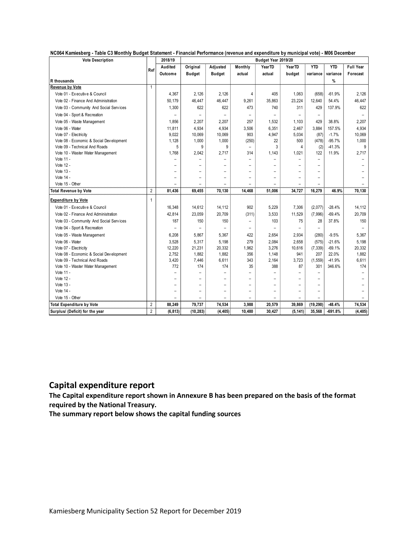| NC064 Kamiesberg - Table C3 Monthly Budget Statement - Financial Performance (revenue and expenditure by municipal vote) - M06 December |  |  |  |  |  |  |
|-----------------------------------------------------------------------------------------------------------------------------------------|--|--|--|--|--|--|
|-----------------------------------------------------------------------------------------------------------------------------------------|--|--|--|--|--|--|

| <b>Vote Description</b>                 |                | 2018/19        | Budget Year 2019/20      |                          |                          |                          |                          |                          |            |           |  |
|-----------------------------------------|----------------|----------------|--------------------------|--------------------------|--------------------------|--------------------------|--------------------------|--------------------------|------------|-----------|--|
|                                         | Ref            | Audited        | Original                 | Adjusted                 | Monthly                  | YearTD                   | <b>YearTD</b>            | <b>YTD</b>               | <b>YTD</b> | Full Year |  |
|                                         |                | Outcome        | <b>Budget</b>            | <b>Budget</b>            | actual                   | actual                   | budget                   | variance                 | variance   | Forecast  |  |
| R thousands                             |                |                |                          |                          |                          |                          |                          |                          | %          |           |  |
| <b>Revenue by Vote</b>                  | 1              |                |                          |                          |                          |                          |                          |                          |            |           |  |
| Vote 01 - Executive & Council           |                | 4,367          | 2.126                    | 2.126                    | $\overline{4}$           | 405                      | 1,063                    | (658)                    | $-61.9%$   | 2.126     |  |
| Vote 02 - Finance And Administration    |                | 50,179         | 46.447                   | 46,447                   | 9,261                    | 35.863                   | 23,224                   | 12,640                   | 54.4%      | 46,447    |  |
| Vote 03 - Community And Social Services |                | 1,300          | 622                      | 622                      | 473                      | 740                      | 311                      | 429                      | 137.9%     | 622       |  |
| Vote 04 - Sport & Recreation            |                |                | $\overline{\phantom{0}}$ | $\overline{\phantom{a}}$ |                          |                          |                          | $\qquad \qquad -$        |            |           |  |
| Vote 05 - Waste Management              |                | 1,856          | 2,207                    | 2,207                    | 257                      | 1,532                    | 1,103                    | 429                      | 38.8%      | 2,207     |  |
| Vote 06 - Water                         |                | 11,811         | 4,934                    | 4,934                    | 3,506                    | 6,351                    | 2,467                    | 3.884                    | 157.5%     | 4,934     |  |
| Vote 07 - Electricity                   |                | 9,022          | 10,069                   | 10,069                   | 903                      | 4,947                    | 5,034                    | (87)                     | $-1.7%$    | 10,069    |  |
| Vote 08 - Economic & Social Development |                | 1,128          | 1,000                    | 1,000                    | (250)                    | 22                       | 500                      | (478)                    | $-95.7%$   | 1,000     |  |
| Vote 09 - Technical And Roads           |                | 5              | 9                        | 9                        |                          | 3                        | 4                        | (2)                      | $-41.3%$   | 9         |  |
| Vote 10 - Waster Water Management       |                | 1,768          | 2,042                    | 2,717                    | 314                      | 1,143                    | 1,021                    | 122                      | 11.9%      | 2,717     |  |
| Vote 11 -                               |                |                |                          | $\overline{a}$           | $\overline{a}$           |                          |                          | $\overline{a}$           |            |           |  |
| Vote 12 -                               |                |                | $\overline{\phantom{0}}$ | $\overline{\phantom{0}}$ | $\overline{\phantom{0}}$ | $\overline{\phantom{0}}$ |                          | $\overline{\phantom{0}}$ |            |           |  |
| Vote 13 -                               |                |                | $\overline{a}$           | $\overline{a}$           | $\overline{\phantom{0}}$ | $\overline{\phantom{0}}$ |                          | $\overline{\phantom{0}}$ |            |           |  |
| Vote 14 -                               |                |                | $\overline{\phantom{0}}$ | $\overline{\phantom{a}}$ |                          | $\overline{\phantom{0}}$ | $\overline{\phantom{0}}$ | $\overline{\phantom{0}}$ |            |           |  |
| Vote 15 - Other                         |                |                |                          |                          |                          |                          |                          |                          |            |           |  |
| <b>Total Revenue by Vote</b>            | $\overline{2}$ | 81,436         | 69,455                   | 70,130                   | 14,468                   | 51,006                   | 34,727                   | 16,279                   | 46.9%      | 70,130    |  |
| <b>Expenditure by Vote</b>              | 1              |                |                          |                          |                          |                          |                          |                          |            |           |  |
| Vote 01 - Executive & Council           |                | 16,348         | 14,612                   | 14,112                   | 902                      | 5,229                    | 7,306                    | (2,077)                  | $-28.4%$   | 14,112    |  |
| Vote 02 - Finance And Administration    |                | 42.814         | 23,059                   | 20,709                   | (311)                    | 3,533                    | 11,529                   | (7,996)                  | $-69.4%$   | 20,709    |  |
| Vote 03 - Community And Social Services |                | 187            | 150                      | 150                      | $\overline{a}$           | 103                      | 75                       | 28                       | 37.8%      | 150       |  |
| Vote 04 - Sport & Recreation            |                | $\overline{a}$ | $\overline{\phantom{0}}$ | $\overline{a}$           | $\overline{\phantom{a}}$ |                          | $\overline{\phantom{0}}$ | $\qquad \qquad -$        |            |           |  |
| Vote 05 - Waste Management              |                | 6,208          | 5.867                    | 5,367                    | 422                      | 2,654                    | 2.934                    | (280)                    | $-9.5%$    | 5.367     |  |
| Vote 06 - Water                         |                | 3,528          | 5,317                    | 5,198                    | 279                      | 2,084                    | 2,658                    | (575)                    | $-21.6%$   | 5,198     |  |
| Vote 07 - Electricity                   |                | 12,220         | 21,231                   | 20,332                   | 1,962                    | 3,276                    | 10,616                   | (7, 339)                 | $-69.1%$   | 20,332    |  |
| Vote 08 - Economic & Social Development |                | 2,752          | 1,882                    | 1,882                    | 356                      | 1,148                    | 941                      | 207                      | 22.0%      | 1,882     |  |
| Vote 09 - Technical And Roads           |                | 3,420          | 7,446                    | 6,611                    | 343                      | 2,164                    | 3,723                    | (1, 559)                 | $-41.9%$   | 6,611     |  |
| Vote 10 - Waster Water Management       |                | 772            | 174                      | 174                      | 35                       | 388                      | 87                       | 301                      | 346.6%     | 174       |  |
| Vote 11 -                               |                |                | $\overline{\phantom{0}}$ | $\overline{\phantom{0}}$ | $\overline{\phantom{0}}$ | $\overline{a}$           | $\overline{a}$           | $\overline{a}$           |            |           |  |
| Vote 12 -                               |                |                | $\overline{\phantom{0}}$ | $\overline{a}$           | $\overline{a}$           |                          | $\overline{a}$           |                          |            |           |  |
| Vote 13 -                               |                |                | $\overline{\phantom{0}}$ | $\qquad \qquad -$        | $\overline{a}$           | $\overline{\phantom{0}}$ | $\overline{\phantom{0}}$ | $\overline{\phantom{0}}$ |            |           |  |
| Vote 14 -                               |                |                | $\overline{\phantom{0}}$ | $\qquad \qquad -$        |                          | $\overline{\phantom{0}}$ | $\overline{\phantom{0}}$ | $\overline{\phantom{0}}$ |            |           |  |
| Vote 15 - Other                         |                |                |                          |                          |                          |                          |                          | $\overline{a}$           |            |           |  |
| <b>Total Expenditure by Vote</b>        | $\overline{2}$ | 88,249         | 79,737                   | 74,534                   | 3,988                    | 20,579                   | 39,869                   | (19, 290)                | $-48.4%$   | 74,534    |  |
| Surplus/ (Deficit) for the year         | $\overline{2}$ | (6, 813)       | (10, 283)                | (4, 405)                 | 10,480                   | 30,427                   | (5, 141)                 | 35,568                   | $-691.8%$  | (4, 405)  |  |

## **Capital expenditure report**

**The Capital expenditure report shown in Annexure B has been prepared on the basis of the format required by the National Treasury.** 

**The summary report below shows the capital funding sources**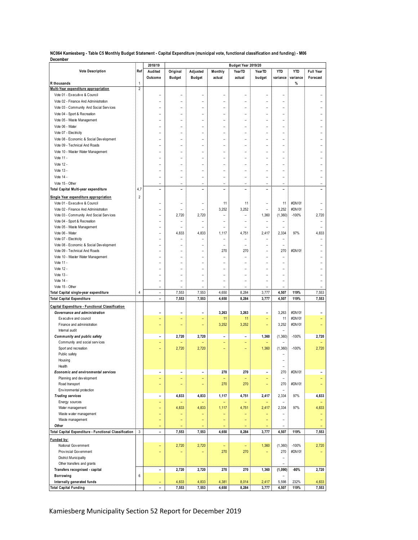**NC064 Kamiesberg - Table C5 Monthly Budget Statement - Capital Expenditure (municipal vote, functional classification and funding) - M06 December**

|                                                       |                | 2018/19                  |                          |                          |                          | Budget Year 2019/20      |                          |                          |            |                          |
|-------------------------------------------------------|----------------|--------------------------|--------------------------|--------------------------|--------------------------|--------------------------|--------------------------|--------------------------|------------|--------------------------|
| <b>Vote Description</b>                               | Ref            | Audited                  | Original                 | Adjusted                 | Monthly                  | YearTD                   | YearTD                   | <b>YTD</b>               | <b>YTD</b> | <b>Full Year</b>         |
|                                                       |                | Outcome                  | <b>Budget</b>            | <b>Budget</b>            | actual                   | actual                   | budget                   | variance                 | variance   | Forecast                 |
| R thousands                                           | 1              |                          |                          |                          |                          |                          |                          |                          | %          |                          |
| Multi-Year expenditure appropriation                  | 2              |                          |                          |                          |                          |                          |                          |                          |            |                          |
| Vote 01 - Executive & Council                         |                | ۰                        |                          | ۰                        | ۰                        | $\overline{a}$           |                          | ۰                        |            |                          |
| Vote 02 - Finance And Administration                  |                | ۰                        | ۰                        | ۰                        | ۰                        | ۰                        | ۳                        | ۰                        |            |                          |
| Vote 03 - Community And Social Services               |                | ۰                        | ۰                        | ۰                        | ۰                        | $\overline{\phantom{m}}$ | ۳                        | ۰                        |            |                          |
| Vote 04 - Sport & Recreation                          |                | ۰                        | ۰                        | ۰                        | ۳                        | ۰                        | ۳                        | ۰                        |            |                          |
| Vote 05 - Waste Management                            |                |                          |                          |                          |                          | ۳                        |                          |                          |            |                          |
| Vote 06 - Water                                       |                |                          |                          |                          |                          | ۳                        |                          |                          |            |                          |
| Vote 07 - Electricity                                 |                |                          |                          |                          |                          | L,                       |                          |                          |            |                          |
| Vote 08 - Economic & Social Development               |                |                          | ۰                        | ۰                        | ۰                        | ۰                        | ۳                        | ۰                        |            |                          |
| Vote 09 - Technical And Roads                         |                | ۰                        | ۰                        | ۰                        | ۰                        | ۰                        | ۳                        | ۰                        |            |                          |
| Vote 10 - Waster Water Management                     |                | ۰                        | ۰                        | ۰                        | L.                       | ۰                        | L.                       | ۰                        |            |                          |
| Vote 11 -                                             |                |                          |                          |                          |                          |                          |                          |                          |            |                          |
|                                                       |                |                          |                          |                          |                          |                          |                          |                          |            |                          |
| Vote 12 -                                             |                |                          |                          |                          |                          |                          |                          |                          |            |                          |
| Vote 13 -                                             |                |                          |                          | ۰                        | $\overline{a}$           | ۳                        | $\overline{a}$           |                          |            |                          |
| Vote 14 -                                             |                | ۰                        | ۰                        | ۰                        | ۰                        | $\overline{\phantom{m}}$ | ۳                        | $\overline{a}$           |            |                          |
| Vote 15 - Other                                       |                | ۰                        | ۰                        | $\overline{a}$           | $\overline{\phantom{0}}$ | $\overline{\phantom{m}}$ | $\overline{\phantom{0}}$ | $\overline{\phantom{m}}$ |            | $\overline{\phantom{0}}$ |
| Total Capital Multi-year expenditure                  | 4,7            | $\overline{\phantom{0}}$ | ۰                        | ۰                        | $\overline{\phantom{a}}$ | $\overline{\phantom{a}}$ | $\overline{\phantom{a}}$ | ۰                        |            |                          |
| Single Year expenditure appropriation                 | $\overline{2}$ |                          |                          |                          |                          |                          |                          |                          |            |                          |
| Vote 01 - Executive & Council                         |                | ۳                        |                          | ÷                        | 11                       | 11                       | $\overline{a}$           | 11                       | #DIV/0!    |                          |
| Vote 02 - Finance And Administration                  |                |                          |                          |                          | 3,252                    | 3,252                    |                          | 3,252                    | #DIV/0!    |                          |
| Vote 03 - Community And Social Services               |                | L.                       | 2,720                    | 2,720                    | ۳                        | ۰                        | 1,360                    | (1, 360)                 | $-100%$    | 2,720                    |
| Vote 04 - Sport & Recreation                          |                | ۰                        | ٠                        | ۰                        | ۰                        | $\overline{\phantom{a}}$ | $\overline{\phantom{a}}$ | $\overline{\phantom{a}}$ |            |                          |
| Vote 05 - Waste Management                            |                | ۰                        | ٠                        | ۰                        | $\overline{\phantom{a}}$ | ٠                        | ۰                        | ÷                        |            |                          |
| Vote 06 - Water                                       |                |                          | 4,833                    | 4,833                    | 1,117                    | 4,751                    | 2,417                    | 2,334                    | 97%        | 4,833                    |
| Vote 07 - Electricity                                 |                | L                        |                          |                          |                          |                          |                          |                          |            |                          |
| Vote 08 - Economic & Social Development               |                | ۰                        | ۰                        | ۰                        | ۳                        | ÷                        | ۳                        | ÷                        |            |                          |
| Vote 09 - Technical And Roads                         |                | ۰                        | ۰                        | ۰                        | 270                      | 270                      | ۳                        | 270                      | #DIV/0!    |                          |
| Vote 10 - Waster Water Management                     |                | ۰                        | ٠                        | ۰                        | ۰                        | $\overline{\phantom{m}}$ | ۰                        | $\overline{\phantom{a}}$ |            |                          |
| Vote 11 -                                             |                | L,                       |                          | ۰                        |                          | ۳                        | $\overline{a}$           | ۰                        |            |                          |
| Vote 12 -                                             |                |                          |                          | L,                       | ۳                        | ۳                        | L                        |                          |            |                          |
| Vote 13 -                                             |                |                          |                          |                          |                          |                          |                          |                          |            |                          |
| Vote 14 -                                             |                | ۰                        | ÷                        | ۰                        | ۰                        | ÷                        | ۳                        | ۰                        |            |                          |
| Vote 15 - Other                                       |                | ۰                        |                          |                          |                          | ۰                        |                          | ۰                        |            |                          |
|                                                       | 4              | ۳                        |                          |                          |                          |                          | 3,777                    |                          | 119%       |                          |
| Total Capital single-year expenditure                 |                | ÷.                       | 7,553<br>7,553           | 7,553<br>7,553           | 4,650<br>4,650           | 8,284<br>8,284           | 3,777                    | 4,507<br>4,507           | 119%       | 7,553<br>7,553           |
| <b>Total Capital Expenditure</b>                      |                |                          |                          |                          |                          |                          |                          |                          |            |                          |
| Capital Expenditure - Functional Classification       |                |                          |                          |                          |                          |                          |                          |                          |            |                          |
| Governance and administration                         |                |                          |                          |                          | 3,263                    | 3,263                    |                          | 3,263                    | #DIV/0!    |                          |
| Executive and council                                 |                | ÷                        | ÷                        | ۳                        | 11                       | 11                       | $\equiv$                 | 11                       | #DIV/0!    |                          |
| Finance and administration                            |                | Ξ                        | ÷                        | ۳                        | 3,252                    | 3,252                    | Ξ                        | 3,252                    | #DIV/0!    |                          |
| Internal audit                                        |                |                          |                          |                          |                          |                          |                          |                          |            |                          |
| Community and public safety                           |                | $\overline{a}$           | 2,720                    | 2,720                    | $\overline{\phantom{0}}$ | $\overline{\phantom{0}}$ | 1,360                    | (1,360)                  | $-100%$    | 2,720                    |
| Community and social services                         |                | ÷                        |                          |                          | ÷,                       | $\overline{\phantom{a}}$ |                          |                          |            |                          |
| Sport and recreation                                  |                | ÷                        | 2,720                    | 2,720                    |                          |                          | 1,360                    | (1, 360)                 | $-100%$    | 2,720                    |
| Public safety                                         |                |                          |                          |                          |                          |                          |                          |                          |            |                          |
| Housing                                               |                |                          |                          |                          |                          |                          |                          |                          |            |                          |
| Health                                                |                |                          |                          |                          |                          |                          |                          |                          |            |                          |
| Economic and environmental services                   |                | L,                       | L,                       | ÷                        | 270                      | 270                      |                          | 270                      | #DIV/0!    |                          |
| Planning and development                              |                | ÷,                       | -                        | $\overline{\phantom{0}}$ | Ξ                        | $\equiv$                 | $\overline{\phantom{0}}$ | $\qquad \qquad -$        |            |                          |
| Road transport                                        |                | ÷,                       | $\overline{\phantom{0}}$ | ÷                        | 270                      | 270                      | $\equiv$                 | 270                      | #DIV/0!    |                          |
| Environmental protection                              |                |                          |                          |                          |                          |                          |                          | ٠                        |            |                          |
| <b>Trading services</b>                               |                | -                        | 4,833                    | 4,833                    | 1,117                    | 4,751                    | 2,417                    | 2,334                    | 97%        | 4,833                    |
| Energy sources                                        |                | $\overline{\phantom{0}}$ |                          | -                        | $\overline{\phantom{0}}$ | ٠                        |                          | $\overline{\phantom{m}}$ |            |                          |
| Water management                                      |                | ÷,                       | 4,833                    | 4,833                    | 1,117                    | 4,751                    | 2,417                    | 2,334                    | 97%        | 4,833                    |
| Waste water management                                |                | ÷                        |                          | ٠                        | ٠                        | -                        |                          |                          |            |                          |
| Waste management                                      |                | ÷,                       | Ξ                        | ÷                        | ÷,                       | $\overline{\phantom{0}}$ | Ξ                        | ۳                        |            |                          |
| Other                                                 |                | Ξ                        |                          |                          |                          |                          |                          | ۰                        |            |                          |
| Total Capital Expenditure - Functional Classification | 3              | $\overline{a}$           | 7,553                    | 7,553                    | 4,650                    | 8,284                    | 3,777                    | 4,507                    | 119%       | 7,553                    |
|                                                       |                |                          |                          |                          |                          |                          |                          |                          |            |                          |
| Funded by:                                            |                |                          |                          |                          |                          |                          |                          |                          |            |                          |
| National Government                                   |                | ÷,                       | 2,720                    | 2,720                    | Ξ                        | Ξ                        | 1,360                    | (1,360)                  | $-100%$    | 2,720                    |
| Prov incial Gov ernment                               |                | Ξ                        |                          | $\overline{\phantom{0}}$ | 270                      | 270                      | $\equiv$                 | 270                      | #DIV/0!    |                          |
| <b>District Municipality</b>                          |                |                          |                          |                          |                          |                          |                          | $\overline{\phantom{a}}$ |            |                          |
| Other transfers and grants                            |                |                          |                          |                          |                          |                          |                          | $\overline{a}$           |            |                          |
| Transfers recognised - capital                        |                | $\overline{\phantom{0}}$ | 2,720                    | 2,720                    | 270                      | 270                      | 1,360                    | (1,090)                  | $-80%$     | 2,720                    |
| Borrowing                                             | 6              |                          |                          |                          |                          |                          |                          | $\overline{a}$           |            |                          |
| Internally generated funds                            |                | ÷                        | 4,833                    | 4,833                    | 4,381                    | 8,014                    | 2,417                    | 5,598                    | 232%       | 4,833                    |
| <b>Total Capital Funding</b>                          |                |                          | 7,553                    | 7,553                    | 4,650                    | 8,284                    | 3,777                    | 4,507                    | 119%       | 7,553                    |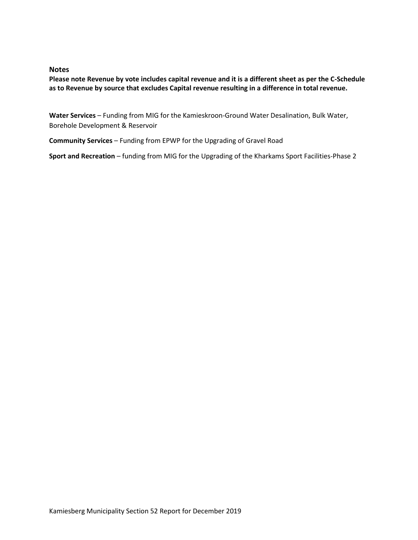#### **Notes**

**Please note Revenue by vote includes capital revenue and it is a different sheet as per the C-Schedule as to Revenue by source that excludes Capital revenue resulting in a difference in total revenue.** 

Water Services - Funding from MIG for the Kamieskroon-Ground Water Desalination, Bulk Water, Borehole Development & Reservoir

**Community Services** – Funding from EPWP for the Upgrading of Gravel Road

**Sport and Recreation** – funding from MIG for the Upgrading of the Kharkams Sport Facilities-Phase 2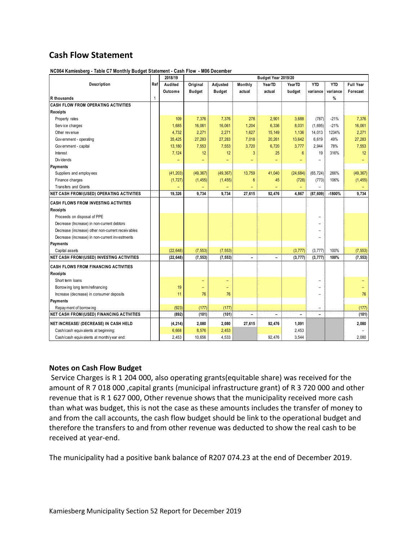# **Cash Flow Statement**

|                                                   | 2018/19 | Budget Year 2019/20 |                          |                          |                          |                          |                 |                          |            |           |  |
|---------------------------------------------------|---------|---------------------|--------------------------|--------------------------|--------------------------|--------------------------|-----------------|--------------------------|------------|-----------|--|
| Description                                       | Ref     | Audited             | Original                 | Adjusted                 | Monthly                  | YearTD                   | YearTD          | <b>YTD</b>               | <b>YTD</b> | Full Year |  |
|                                                   |         | Outcome             | <b>Budget</b>            | <b>Budget</b>            | actual                   | actual                   | budget          | variance                 | variance   | Forecast  |  |
| R thousands                                       | 1       |                     |                          |                          |                          |                          |                 |                          | %          |           |  |
| <b>CASH FLOW FROM OPERATING ACTIVITIES</b>        |         |                     |                          |                          |                          |                          |                 |                          |            |           |  |
| <b>Receipts</b>                                   |         |                     |                          |                          |                          |                          |                 |                          |            |           |  |
| Property rates                                    |         | 109                 | 7,376                    | 7,376                    | 278                      | 2,901                    | 3,688           | (787)                    | $-21%$     | 7,376     |  |
| Service charges                                   |         | 1,685               | 16,061                   | 16,061                   | 1,204                    | 6,336                    | 8,031           | (1,695)                  | $-21%$     | 16,061    |  |
| Other revenue                                     |         | 4,732               | 2,271                    | 2,271                    | 1,627                    | 15,149                   | 1,136           | 14,013                   | 1234%      | 2,271     |  |
| Gov ernment - operating                           |         | 35,425              | 27,283                   | 27,283                   | 7,018                    | 20,261                   | 13,642          | 6.619                    | 49%        | 27,283    |  |
| Gov ernment - capital                             |         | 13,180              | 7,553                    | 7,553                    | 3,720                    | 6,720                    | 3,777           | 2,944                    | 78%        | 7,553     |  |
| Interest                                          |         | 7,124               | 12                       | 12                       | 3                        | 25                       | $6\phantom{1}6$ | 19                       | 316%       | 12        |  |
| Div idends                                        |         | -                   | $\overline{\phantom{0}}$ | $\overline{\phantom{0}}$ | $\overline{\phantom{0}}$ | $\overline{\phantom{0}}$ | ۳               | $\overline{a}$           |            | $-$       |  |
| Payments                                          |         |                     |                          |                          |                          |                          |                 |                          |            |           |  |
| Suppliers and employees                           |         | (41, 203)           | (49, 367)                | (49, 367)                | 13,759                   | 41,040                   | (24, 684)       | (65, 724)                | 266%       | (49, 367) |  |
| Finance charges                                   |         | (1, 727)            | (1, 455)                 | (1, 455)                 | $6\phantom{1}6$          | 45                       | (728)           | (773)                    | 106%       | (1, 455)  |  |
| <b>Transfers and Grants</b>                       |         |                     |                          |                          |                          |                          |                 | $\equiv$                 |            |           |  |
| NET CASH FROM/(USED) OPERATING ACTIVITIES         |         | 19.326              | 9.734                    | 9,734                    | 27,615                   | 92.476                   | 4,867           | (87, 609)                | $-1800%$   | 9,734     |  |
| CASH FLOWS FROM INVESTING ACTIVITIES              |         |                     |                          |                          |                          |                          |                 |                          |            |           |  |
| <b>Receipts</b>                                   |         |                     |                          |                          |                          |                          |                 |                          |            |           |  |
| Proceeds on disposal of PPE                       |         |                     |                          |                          |                          |                          |                 |                          |            |           |  |
| Decrease (Increase) in non-current debtors        |         |                     |                          |                          |                          |                          |                 |                          |            |           |  |
| Decrease (increase) other non-current receivables |         |                     |                          |                          |                          |                          |                 |                          |            |           |  |
| Decrease (increase) in non-current investments    |         |                     |                          |                          |                          |                          |                 |                          |            |           |  |
| Payments                                          |         |                     |                          |                          |                          |                          |                 |                          |            |           |  |
| Capital assets                                    |         | (22, 648)           | (7, 553)                 | (7, 553)                 |                          |                          | (3, 777)        | (3, 777)                 | 100%       | (7, 553)  |  |
| <b>NET CASH FROM/(USED) INVESTING ACTIVITIES</b>  |         | (22, 648)           | (7, 553)                 | (7, 553)                 | $\overline{\phantom{0}}$ | $\overline{\phantom{a}}$ | (3, 777)        | (3, 777)                 | 100%       | (7, 553)  |  |
| <b>CASH FLOWS FROM FINANCING ACTIVITIES</b>       |         |                     |                          |                          |                          |                          |                 |                          |            |           |  |
| Receipts                                          |         |                     |                          |                          |                          |                          |                 |                          |            |           |  |
| Short term loans                                  |         |                     | -                        | $\qquad \qquad -$        |                          |                          |                 |                          |            |           |  |
| Borrow ing long term/refinancing                  |         | 19                  | ۳                        | $\overline{\phantom{0}}$ |                          |                          |                 |                          |            |           |  |
| Increase (decrease) in consumer deposits          |         | 11                  | 76                       | 76                       |                          |                          |                 |                          |            | 76        |  |
| Payments                                          |         |                     |                          |                          |                          |                          |                 |                          |            |           |  |
| Repay ment of borrow ing                          |         | (923)               | (177)                    | (177)                    |                          |                          |                 | $\overline{\phantom{m}}$ |            | (177)     |  |
| <b>NET CASH FROM/(USED) FINANCING ACTIVITIES</b>  |         | (892)               | (101)                    | (101)                    |                          | $\overline{\phantom{0}}$ | $\overline{a}$  |                          |            | (101)     |  |
| NET INCREASE/ (DECREASE) IN CASH HELD             |         | (4, 214)            | 2,080                    | 2,080                    | 27,615                   | 92,476                   | 1,091           |                          |            | 2,080     |  |
| Cash/cash equivalents at beginning:               |         | 6,668               | 8,576                    | 2,453                    |                          |                          | 2,453           |                          |            |           |  |
| Cash/cash equivalents at month/year end:          |         | 2,453               | 10,656                   | 4,533                    |                          | 92,476                   | 3,544           |                          |            | 2,080     |  |
|                                                   |         |                     |                          |                          |                          |                          |                 |                          |            |           |  |

**NC064 Kamiesberg - Table C7 Monthly Budget Statement - Cash Flow - M06 December**

#### **Notes on Cash Flow Budget**

Service Charges is R 1 204 000, also operating grants(equitable share) was received for the amount of R 7 018 000 ,capital grants (municipal infrastructure grant) of R 3 720 000 and other revenue that is R 1 627 000, Other revenue shows that the municipality received more cash than what was budget, this is not the case as these amounts includes the transfer of money to and from the call accounts, the cash flow budget should be link to the operational budget and therefore the transfers to and from other revenue was deducted to show the real cash to be received at year-end.

The municipality had a positive bank balance of R207 074.23 at the end of December 2019.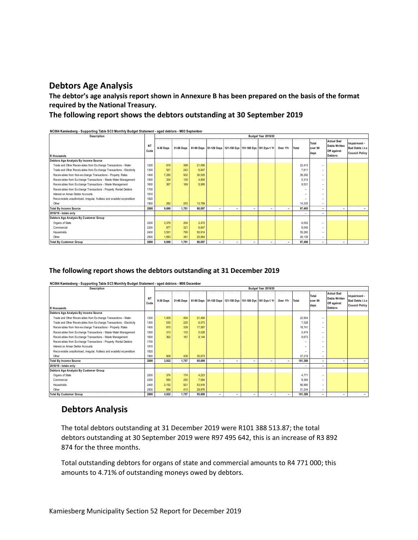## **Debtors Age Analysis**

**The debtor's age analysis report shown in Annexure B has been prepared on the basis of the format required by the National Treasury.** 

#### **The following report shows the debtors outstanding at 30 September 2019**

**NC064 Kamiesberg - Supporting Table SC3 Monthly Budget Statement - aged debtors - M03 September**

| Description                                                             |                   | Budget Year 2019/20 |       |        |                          |                          |                          |                                                                        |                          |                          |                          |                                                                            |                                                          |
|-------------------------------------------------------------------------|-------------------|---------------------|-------|--------|--------------------------|--------------------------|--------------------------|------------------------------------------------------------------------|--------------------------|--------------------------|--------------------------|----------------------------------------------------------------------------|----------------------------------------------------------|
| R thousands                                                             | <b>NT</b><br>Code | 0-30 Days           |       |        |                          |                          |                          | 31-60 Days 61-90 Days 91-120 Days 121-150 Dys 151-180 Dys 181 Dys-1 Yr | Over 1Yr Total           |                          | Total<br>over 90<br>days | <b>Actual Bad</b><br><b>Debts Written</b><br>Off against<br><b>Debtors</b> | Impairment -<br>Bad Debts i.t.o<br><b>Council Policy</b> |
| Debtors Age Analysis By Income Source                                   |                   |                     |       |        |                          |                          |                          |                                                                        |                          |                          |                          |                                                                            |                                                          |
| Trade and Other Receivables from Exchange Transactions - Water          | 1200              | 919                 | 399   | 21,095 |                          |                          |                          |                                                                        |                          | 22,413                   | -                        |                                                                            |                                                          |
| Trade and Other Receivables from Exchange Transactions - Electricity    | 1300              | 521                 | 243   | 6,847  |                          |                          |                          |                                                                        |                          | 7,611                    | $\overline{\phantom{a}}$ |                                                                            |                                                          |
| Receivables from Non-exchange Transactions - Property Rates             | 1400              | 7.285               | 502   | 30.505 |                          |                          |                          |                                                                        |                          | 38.292                   | $\overline{\phantom{a}}$ |                                                                            |                                                          |
| Receivables from Exchange Transactions - Waste Water Management         | 1500              | 324                 | 135   | 4.855  |                          |                          |                          |                                                                        |                          | 5.314                    | $\overline{\phantom{a}}$ |                                                                            |                                                          |
| Receivables from Exchange Transactions - Waste Management               | 1600              | 367                 | 169   | 8.995  |                          |                          |                          |                                                                        |                          | 9,531                    | $\overline{\phantom{a}}$ |                                                                            |                                                          |
| Receivables from Exchange Transactions - Property Rental Debtors        | 1700              |                     |       |        |                          |                          |                          |                                                                        |                          | $\overline{\phantom{a}}$ | $\overline{\phantom{a}}$ |                                                                            |                                                          |
| Interest on Arrear Debtor Accounts                                      | 1810              |                     |       |        |                          |                          |                          |                                                                        |                          | $\overline{\phantom{a}}$ | -                        |                                                                            |                                                          |
| Recoverable unauthorised, irregular, fruitless and wasteful expenditure | 1820              |                     |       |        |                          |                          |                          |                                                                        |                          | -                        | $\overline{\phantom{a}}$ |                                                                            |                                                          |
| Other                                                                   | 1900              | 282                 | 253   | 13,799 |                          |                          |                          |                                                                        |                          | 14.335                   | $\overline{\phantom{a}}$ |                                                                            |                                                          |
| <b>Total By Income Source</b>                                           | 2000              | 9.698               | 1.701 | 86.097 | $\sim$                   | $\overline{\phantom{a}}$ | $\overline{\phantom{a}}$ | $\sim$                                                                 | $\overline{\phantom{a}}$ | 97.495                   | $\sim$                   | -                                                                          | -                                                        |
| 2018/19 - totals only                                                   |                   |                     |       |        |                          |                          |                          |                                                                        |                          | $\overline{\phantom{a}}$ | $\overline{\phantom{0}}$ |                                                                            |                                                          |
| Debtors Age Analysis By Customer Group                                  |                   |                     |       |        |                          |                          |                          |                                                                        |                          |                          |                          |                                                                            |                                                          |
| Organs of State                                                         | 2200              | 3,376               | 204   | 2,472  |                          |                          |                          |                                                                        |                          | 6,052                    | $\overline{\phantom{a}}$ |                                                                            |                                                          |
| Commercial                                                              | 2300              | 877                 | 321   | 6,847  |                          |                          |                          |                                                                        |                          | 8,045                    | $\overline{\phantom{a}}$ |                                                                            |                                                          |
| Households                                                              | 2400              | 3.551               | 795   | 50,914 |                          |                          |                          |                                                                        |                          | 55.260                   | $\overline{\phantom{a}}$ |                                                                            |                                                          |
| Other                                                                   | 2500              | 1.893               | 381   | 25.864 |                          |                          |                          |                                                                        |                          | 28.138                   | $\overline{\phantom{a}}$ |                                                                            |                                                          |
| <b>Total By Customer Group</b>                                          | 2600              | 9.698               | 1.701 | 86.097 | $\overline{\phantom{a}}$ | ۰                        | $\overline{\phantom{a}}$ | ٠                                                                      | $\overline{\phantom{a}}$ | 97,496                   | ٠                        |                                                                            |                                                          |

#### **The following report shows the debtors outstanding at 31 December 2019**

**NC064 Kamiesberg - Supporting Table SC3 Monthly Budget Statement - aged debtors - M06 December**

| Description                                                             |                   | Budget Year 2019/20 |       |        |                          |                          |                          |                                                                                  |                          |                          |                          |                                                                            |                                                          |
|-------------------------------------------------------------------------|-------------------|---------------------|-------|--------|--------------------------|--------------------------|--------------------------|----------------------------------------------------------------------------------|--------------------------|--------------------------|--------------------------|----------------------------------------------------------------------------|----------------------------------------------------------|
| R thousands                                                             | <b>NT</b><br>Code | 0-30 Days           |       |        |                          |                          |                          | 31-60 Days   61-90 Days   91-120 Days   121-150 Dys   151-180 Dys   181 Dys-1 Yr | Over 1Yr                 | Total                    | Total<br>over 90<br>days | <b>Actual Bad</b><br><b>Debts Written</b><br>Off against<br><b>Debtors</b> | Impairment -<br>Bad Debts i.t.o<br><b>Council Policy</b> |
| Debtors Age Analysis By Income Source                                   |                   |                     |       |        |                          |                          |                          |                                                                                  |                          |                          |                          |                                                                            |                                                          |
| Trade and Other Receivables from Exchange Transactions - Water          | 1200              | 1.005               | 454   | 21,494 |                          |                          |                          |                                                                                  |                          | 22,954                   | -                        |                                                                            |                                                          |
| Trade and Other Receivables from Exchange Transactions - Electricity    | 1300              | 530                 | 225   | 6.573  |                          |                          |                          |                                                                                  |                          | 7.328                    | $\overline{\phantom{a}}$ |                                                                            |                                                          |
| Receivables from Non-exchange Transactions - Property Rates             | 1400              | 815                 | 339   | 17,587 |                          |                          |                          |                                                                                  |                          | 18,741                   | $\overline{\phantom{a}}$ |                                                                            |                                                          |
| Receivables from Exchange Transactions - Waste Water Management         | 1500              | 313                 | 133   | 5,028  |                          |                          |                          |                                                                                  |                          | 5.474                    | $\overline{\phantom{a}}$ |                                                                            |                                                          |
| Receivables from Exchange Transactions - Waste Management               | 1600              | 362                 | 167   | 9.144  |                          |                          |                          |                                                                                  |                          | 9.673                    | -                        |                                                                            |                                                          |
| Receivables from Exchange Transactions - Property Rental Debtors        | 1700              |                     |       |        |                          |                          |                          |                                                                                  |                          |                          | -                        |                                                                            |                                                          |
| Interest on Arrear Debtor Accounts                                      | 1810              |                     |       |        |                          |                          |                          |                                                                                  |                          | -                        | -                        |                                                                            |                                                          |
| Recoverable unauthorised, irregular, fruitless and wasteful expenditure | 1820              |                     |       |        |                          |                          |                          |                                                                                  |                          | -                        | -                        |                                                                            |                                                          |
| Other                                                                   | 1900              | 908                 | 438   | 35,873 |                          |                          |                          |                                                                                  |                          | 37.219                   | $\overline{\phantom{a}}$ |                                                                            |                                                          |
| <b>Total By Income Source</b>                                           | 2000              | 3,932               | 1.757 | 95,699 | $\overline{\phantom{0}}$ | $\overline{\phantom{0}}$ | $\overline{\phantom{a}}$ | ٠                                                                                | ٠                        | 101,389                  | ٠                        | -                                                                          |                                                          |
| 2018/19 - totals only                                                   |                   |                     |       |        |                          |                          |                          |                                                                                  |                          | $\overline{\phantom{a}}$ | ٠                        |                                                                            |                                                          |
| Debtors Age Analysis By Customer Group                                  |                   |                     |       |        |                          |                          |                          |                                                                                  |                          |                          |                          |                                                                            |                                                          |
| Organs of State                                                         | 2200              | 374                 | 174   | 4,223  |                          |                          |                          |                                                                                  |                          | 4,771                    | -                        |                                                                            |                                                          |
| Commercial                                                              | 2300              | 550                 | 250   | 7,584  |                          |                          |                          |                                                                                  |                          | 8,384                    | $\overline{\phantom{a}}$ |                                                                            |                                                          |
| Households                                                              | 2400              | 2.152               | 921   | 53.916 |                          |                          |                          |                                                                                  |                          | 56,990                   | -                        |                                                                            |                                                          |
| Other                                                                   | 2500              | 856                 | 413   | 29.976 |                          |                          |                          |                                                                                  |                          | 31.244                   | $\overline{\phantom{a}}$ |                                                                            |                                                          |
| <b>Total By Customer Group</b>                                          | 2600              | 3.932               | 1,757 | 95.699 | -                        | -                        | ٠                        | ٠                                                                                | $\overline{\phantom{a}}$ | 101,389                  | $\overline{\phantom{a}}$ | -                                                                          | ۰.                                                       |

### **Debtors Analysis**

The total debtors outstanding at 31 December 2019 were R101 388 513.87; the total debtors outstanding at 30 September 2019 were R97 495 642, this is an increase of R3 892 874 for the three months.

Total outstanding debtors for organs of state and commercial amounts to R4 771 000; this amounts to 4.71% of outstanding moneys owed by debtors.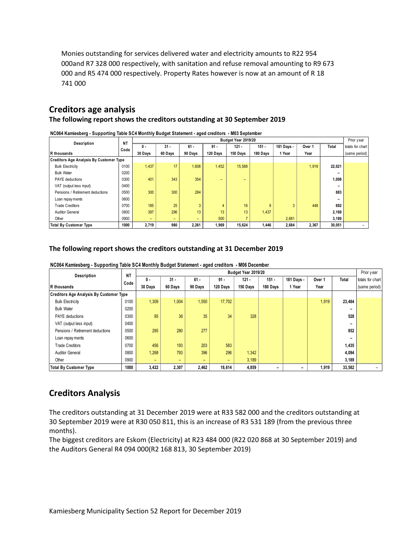Monies outstanding for services delivered water and electricity amounts to R22 954 000and R7 328 000 respectively, with sanitation and refuse removal amounting to R9 673 000 and R5 474 000 respectively. Property Rates however is now at an amount of R 18 741 000

## **Creditors age analysis**

#### **The following report shows the creditors outstanding at 30 September 2019**

| NC064 Kamiesberg - Supporting Table SC4 Monthly Budget Statement - aged creditors - M03 September<br>Budget Year 2019/20 |           |         |                          |         |          |          |          |            |        |        |                                |  |
|--------------------------------------------------------------------------------------------------------------------------|-----------|---------|--------------------------|---------|----------|----------|----------|------------|--------|--------|--------------------------------|--|
| Description                                                                                                              | <b>NT</b> | 0 -     | $31 -$                   | $61 -$  | $91 -$   | $121 -$  | $151 -$  | 181 Days - | Over 1 | Total  | Prior year<br>totals for chart |  |
| R thousands                                                                                                              | Code      | 30 Days | 60 Days                  | 90 Days | 120 Days | 150 Days | 180 Days | 1 Year     | Year   |        | (same period)                  |  |
| <b>Creditors Age Analysis By Customer Type</b>                                                                           |           |         |                          |         |          |          |          |            |        |        |                                |  |
| <b>Bulk Electricity</b>                                                                                                  | 0100      | 1,437   | 17                       | 1,608   | 1,452    | 15,588   |          |            | 1,919  | 22,021 |                                |  |
| <b>Bulk Water</b>                                                                                                        | 0200      |         |                          |         |          |          |          |            |        |        |                                |  |
| <b>PAYE</b> deductions                                                                                                   | 0300      | 401     | 343                      | 354     | -        | -        |          |            |        | 1,098  |                                |  |
| VAT (output less input)                                                                                                  | 0400      |         |                          |         |          |          |          |            |        |        |                                |  |
| Pensions / Retirement deductions                                                                                         | 0500      | 300     | 300                      | 284     |          |          |          |            |        | 883    |                                |  |
| Loan repay ments                                                                                                         | 0600      |         |                          |         |          |          |          |            |        |        |                                |  |
| <b>Trade Creditors</b>                                                                                                   | 0700      | 185     | 25                       | 3       |          | 16       |          | 3          | 448    | 692    |                                |  |
| <b>Auditor General</b>                                                                                                   | 0800      | 397     | 296                      | 13      | 13       | 13       | 1,437    |            |        | 2,169  |                                |  |
| Other                                                                                                                    | 0900      |         | $\overline{\phantom{0}}$ |         | 500      |          |          | 2,681      |        | 3,189  |                                |  |
| <b>Total By Customer Type</b>                                                                                            | 1000      | 2.719   | 980                      | 2.261   | 1.969    | 15.624   | 1.446    | 2,684      | 2,367  | 30.051 |                                |  |

#### **The following report shows the creditors outstanding at 31 December 2019**

| The following report shows the creditors outstanding at 31 December 2019                                                |                   |                          |                          |                   |                    |                     |                     |                      |                |        |                                                 |  |
|-------------------------------------------------------------------------------------------------------------------------|-------------------|--------------------------|--------------------------|-------------------|--------------------|---------------------|---------------------|----------------------|----------------|--------|-------------------------------------------------|--|
| NC064 Kamiesberg - Supporting Table SC4 Monthly Budget Statement - aged creditors - M06 December<br>Budget Year 2019/20 |                   |                          |                          |                   |                    |                     |                     |                      |                |        |                                                 |  |
| <b>Description</b><br>R thousands                                                                                       | <b>NT</b><br>Code | 0 -<br>30 Days           | $31 -$<br>60 Davs        | $61 -$<br>90 Days | $91 -$<br>120 Days | $121 -$<br>150 Davs | $151 -$<br>180 Days | 181 Days -<br>1 Year | Over 1<br>Year | Total  | Prior year<br>totals for chart<br>(same period) |  |
| <b>Creditors Age Analysis By Customer Type</b>                                                                          |                   |                          |                          |                   |                    |                     |                     |                      |                |        |                                                 |  |
| <b>Bulk Electricity</b>                                                                                                 | 0100              | 1,309                    | 1,004                    | 1,550             | 17,702             |                     |                     |                      | 1,919          | 23,484 |                                                 |  |
| <b>Bulk Water</b>                                                                                                       | 0200              |                          |                          |                   |                    |                     |                     |                      |                |        |                                                 |  |
| <b>PAYE</b> deductions                                                                                                  | 0300              | 95                       | 36                       | 35                | 34                 | 328                 |                     |                      |                | 528    |                                                 |  |
| VAT (output less input)                                                                                                 | 0400              |                          |                          |                   |                    |                     |                     |                      |                |        |                                                 |  |
| Pensions / Retirement deductions                                                                                        | 0500              | 295                      | 280                      | 277               |                    |                     |                     |                      |                | 852    |                                                 |  |
| Loan repay ments                                                                                                        | 0600              |                          |                          |                   |                    |                     |                     |                      |                |        |                                                 |  |
| <b>Trade Creditors</b>                                                                                                  | 0700              | 456                      | 193                      | 203               | 583                |                     |                     |                      |                | 1,435  |                                                 |  |
| Auditor General                                                                                                         | 0800              | 1,268                    | 793                      | 396               | 296                | 1,342               |                     |                      |                | 4,094  |                                                 |  |
| Other                                                                                                                   | 0900              | $\overline{\phantom{0}}$ | $\overline{\phantom{0}}$ | -                 | -                  | 3,189               |                     |                      |                | 3,189  |                                                 |  |
| <b>Total By Customer Type</b>                                                                                           | 1000              | 3,422                    | 2.307                    | 2.462             | 18.614             | 4.859               | -                   | -                    | 1.919          | 33.582 |                                                 |  |

## **Creditors Analysis**

The creditors outstanding at 31 December 2019 were at R33 582 000 and the creditors outstanding at 30 September 2019 were at R30 050 811, this is an increase of R3 531 189 (from the previous three months).

The biggest creditors are Eskom (Electricity) at R23 484 000 (R22 020 868 at 30 September 2019) and the Auditors General R4 094 000(R2 168 813, 30 September 2019)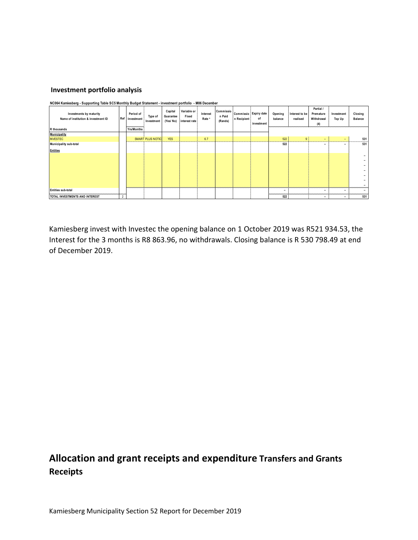#### **Investment portfolio analysis**

| .<br>$\cdot$<br>Investments by maturity<br>Name of institution & investment ID<br>R thousands |                | Period of<br>Ref Investment<br>Yrs/Months | Type of<br>Investment   | Capital<br>Guarantee<br>(Yes/No) | Variable or<br>Fixed<br>interest rate | Interest<br>Rate <sup>3</sup> | Commissio<br>n Paid<br>(Rands) | n Recipient | Commissio Expiry date<br>of<br>investment | Opening<br>balance | Interest to be<br>realised | Partial /<br>Premature<br>Withdrawal<br>(4) | Investment<br><b>Top Up</b> | Closing<br>Balance |
|-----------------------------------------------------------------------------------------------|----------------|-------------------------------------------|-------------------------|----------------------------------|---------------------------------------|-------------------------------|--------------------------------|-------------|-------------------------------------------|--------------------|----------------------------|---------------------------------------------|-----------------------------|--------------------|
| <b>Municipality</b>                                                                           |                |                                           |                         |                                  |                                       |                               |                                |             |                                           |                    |                            |                                             |                             |                    |
| <b>INVESTEC</b>                                                                               |                |                                           | <b>SMART PLUS NOTIC</b> | <b>YES</b>                       |                                       | 6.7                           |                                |             |                                           | 522                | 9 <sup>1</sup>             | ۰.                                          | $\overline{\phantom{0}}$    | 531                |
| Municipality sub-total                                                                        |                |                                           |                         |                                  |                                       |                               |                                |             |                                           | 522                |                            | -                                           | -                           | 531                |
| <b>Entities</b>                                                                               |                |                                           |                         |                                  |                                       |                               |                                |             |                                           |                    |                            |                                             |                             |                    |
|                                                                                               |                |                                           |                         |                                  |                                       |                               |                                |             |                                           |                    |                            |                                             |                             |                    |
|                                                                                               |                |                                           |                         |                                  |                                       |                               |                                |             |                                           |                    |                            |                                             |                             |                    |
|                                                                                               |                |                                           |                         |                                  |                                       |                               |                                |             |                                           |                    |                            |                                             |                             |                    |
|                                                                                               |                |                                           |                         |                                  |                                       |                               |                                |             |                                           |                    |                            |                                             |                             |                    |
|                                                                                               |                |                                           |                         |                                  |                                       |                               |                                |             |                                           |                    |                            |                                             |                             |                    |
|                                                                                               |                |                                           |                         |                                  |                                       |                               |                                |             |                                           |                    |                            |                                             |                             |                    |
|                                                                                               |                |                                           |                         |                                  |                                       |                               |                                |             |                                           |                    |                            |                                             |                             |                    |
| <b>Entities sub-total</b>                                                                     |                |                                           |                         |                                  |                                       |                               |                                |             |                                           |                    |                            | $\overline{\phantom{0}}$                    |                             |                    |
| TOTAL INVESTMENTS AND INTEREST                                                                | $\overline{2}$ |                                           |                         |                                  |                                       |                               |                                |             |                                           | 522                |                            | -                                           | -                           | 531                |

**NC064 Kamiesberg - Supporting Table SC5 Monthly Budget Statement - investment portfolio - M06 December**

Kamiesberg invest with Investec the opening balance on 1 October 2019 was R521 934.53, the Interest for the 3 months is R8 863.96, no withdrawals. Closing balance is R 530 798.49 at end of December 2019.

# **Allocation and grant receipts and expenditure Transfers and Grants Receipts**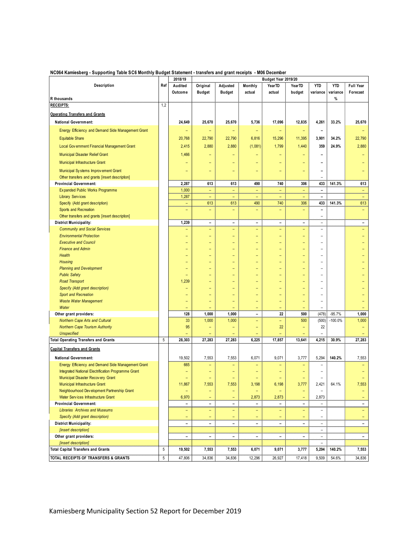|                                                                                          |     | 2018/19                  | Budget Year 2019/20      |                          |                          |                          |                          |                          |            |                          |
|------------------------------------------------------------------------------------------|-----|--------------------------|--------------------------|--------------------------|--------------------------|--------------------------|--------------------------|--------------------------|------------|--------------------------|
| Description                                                                              | Ref | Audited                  | Original                 | Adjusted                 | Monthly                  | YearTD                   | YearTD                   | <b>YTD</b>               | <b>YTD</b> | Full Year                |
|                                                                                          |     | Outcome                  | <b>Budget</b>            | <b>Budget</b>            | actual                   | actual                   | budget                   | variance                 | variance   | Forecast                 |
| R thousands                                                                              |     |                          |                          |                          |                          |                          |                          |                          | %          |                          |
| <b>RECEIPTS:</b>                                                                         | 1,2 |                          |                          |                          |                          |                          |                          |                          |            |                          |
| <b>Operating Transfers and Grants</b>                                                    |     |                          |                          |                          |                          |                          |                          |                          |            |                          |
| <b>National Government:</b>                                                              |     | 24,649                   | 25,670                   | 25,670                   | 5,736                    | 17,096                   | 12,835                   | 4,261                    | 33.2%      | 25,670                   |
| Energy Efficiency and Demand Side Management Grant                                       |     |                          |                          |                          |                          | -                        |                          | $\overline{\phantom{a}}$ |            |                          |
| <b>Equitable Share</b>                                                                   |     | 20,768                   | 22,790                   | 22,790                   | 6,816                    | 15,296                   | 11,395                   | 3,901                    | 34.2%      | 22,790                   |
|                                                                                          |     |                          |                          |                          |                          |                          |                          |                          |            |                          |
| Local Government Financial Management Grant                                              |     | 2,415                    | 2,880                    | 2,880                    | (1,081)                  | 1,799                    | 1,440                    | 359                      | 24.9%      | 2,880                    |
| <b>Municipal Disaster Relief Grant</b>                                                   |     | 1,466                    |                          |                          |                          |                          |                          |                          |            |                          |
| Municipal Infrastructure Grant                                                           |     |                          |                          |                          |                          |                          |                          |                          |            |                          |
| Municipal Systems Improvement Grant                                                      |     |                          | -                        | $\equiv$                 |                          | ۳                        | $\overline{\phantom{0}}$ | $\overline{\phantom{0}}$ |            |                          |
| Other transfers and grants [insert description]                                          |     |                          |                          |                          |                          |                          |                          |                          |            |                          |
| <b>Provincial Government:</b>                                                            |     | 2,287                    | 613                      | 613                      | 490                      | 740                      | 306                      | 433                      | 141.3%     | 613                      |
| Expanded Public Works Programme                                                          |     | 1,000                    | ÷,                       | $\overline{\phantom{a}}$ | ÷                        | $\overline{\phantom{a}}$ | ÷                        | $\blacksquare$           |            |                          |
| <b>Library Services</b>                                                                  |     | 1,287                    |                          | ۳                        | ۳                        | ۳                        |                          | $\overline{\phantom{0}}$ |            |                          |
| Specify (Add grant description)                                                          |     | ۳                        | 613                      | 613                      | 490                      | 740                      | 306                      | 433                      | 141.3%     | 613                      |
| Sports and Recreation                                                                    |     |                          | -                        | $\qquad \qquad -$        |                          | ۰                        |                          | $\overline{\phantom{0}}$ |            |                          |
| Other transfers and grants [insert description]                                          |     |                          |                          |                          |                          |                          |                          | $\overline{\phantom{a}}$ |            |                          |
| <b>District Municipality:</b>                                                            |     | 1,239                    | $\overline{\phantom{a}}$ | $\overline{\phantom{0}}$ | $\overline{\phantom{0}}$ | $\overline{\phantom{a}}$ | $\overline{\phantom{a}}$ | $\equiv$                 |            | $\overline{\phantom{a}}$ |
| <b>Community and Social Services</b>                                                     |     |                          | -                        | $\qquad \qquad -$        |                          | ۳                        |                          | $\overline{\phantom{0}}$ |            |                          |
| <b>Environmental Protection</b>                                                          |     |                          | -                        | $\equiv$                 |                          | ۳                        | -                        | $\equiv$                 |            |                          |
| <b>Executive and Council</b>                                                             |     |                          | $\overline{\phantom{0}}$ | $\overline{\phantom{0}}$ |                          |                          |                          | $\overline{\phantom{0}}$ |            |                          |
| <b>Finance and Admin</b>                                                                 |     |                          | -                        | ۳                        |                          | -                        | -                        | -                        |            |                          |
| <b>Health</b>                                                                            |     |                          | $\equiv$                 | $\overline{\phantom{0}}$ |                          |                          | $\overline{\phantom{0}}$ | ۳                        |            |                          |
| <b>Housing</b>                                                                           |     |                          |                          |                          |                          |                          |                          |                          |            |                          |
| <b>Planning and Development</b><br><b>Public Safety</b>                                  |     |                          | -                        | $\equiv$                 |                          |                          | -                        |                          |            |                          |
| <b>Road Transport</b>                                                                    |     | 1,239                    | -                        |                          |                          |                          | ۳                        | -                        |            |                          |
| Specify (Add grant description)                                                          |     |                          | $\equiv$                 |                          |                          |                          | -                        | $\overline{\phantom{0}}$ |            |                          |
| <b>Sport and Recreation</b>                                                              |     |                          |                          |                          |                          |                          |                          | $\equiv$                 |            |                          |
| <b>Waste Water Management</b>                                                            |     | -                        | -                        |                          |                          | ۳                        | ۳                        | $\equiv$                 |            |                          |
| Water                                                                                    |     |                          |                          |                          |                          |                          |                          |                          |            |                          |
| Other grant providers:                                                                   |     | 128                      | 1,000                    | 1,000                    | $\overline{\phantom{0}}$ | 22                       | 500                      | (478)                    | $-95.7%$   | 1,000                    |
| Northern Cape Arts and Cultural                                                          |     | 33                       | 1,000                    | 1,000                    |                          | -                        | 500                      | (500)                    | $-100.0%$  | 1,000                    |
| <b>Northern Cape Tourism Authority</b>                                                   |     | 95                       |                          | ٠                        | -                        | 22                       |                          | 22                       |            |                          |
| <b>Unspecified</b>                                                                       |     |                          |                          |                          |                          |                          |                          |                          |            |                          |
| <b>Total Operating Transfers and Grants</b>                                              | 5   | 28,303                   | 27,283                   | 27,283                   | 6,225                    | 17,857                   | 13,641                   | 4,215                    | 30.9%      | 27,283                   |
| <b>Capital Transfers and Grants</b>                                                      |     |                          |                          |                          |                          |                          |                          |                          |            |                          |
|                                                                                          |     |                          |                          |                          |                          |                          |                          |                          |            |                          |
| <b>National Government:</b>                                                              |     | 19,502                   | 7,553                    | 7,553                    | 6,071                    | 9,071                    | 3,777                    | 5,294                    | 140.2%     | 7,553                    |
| Energy Efficiency and Demand Side Management Grant                                       |     | 665                      |                          |                          |                          |                          |                          |                          |            |                          |
| Integrated National Electrification Programme Grant<br>Municipal Disaster Recovery Grant |     | $\overline{\phantom{0}}$ |                          | $\qquad \qquad -$        |                          |                          | $\qquad \qquad -$        | $\qquad \qquad$          |            |                          |
| Municipal Infrastructure Grant                                                           |     | 11,867                   | -<br>7,553               | 7,553                    | -<br>3,198               | -<br>6,198               | 3,777                    | 2,421                    | 64.1%      | 7,553                    |
| Neighbourhood Development Partnership Grant                                              |     |                          |                          | ۰                        |                          |                          |                          |                          |            |                          |
| Water Services Infrastructure Grant                                                      |     | 6,970                    |                          |                          | 2,873                    | 2,873                    |                          | 2,873                    |            |                          |
| <b>Provincial Government:</b>                                                            |     | $\overline{\phantom{0}}$ | $\overline{\phantom{a}}$ | $\overline{\phantom{a}}$ | $\overline{\phantom{0}}$ | $\overline{\phantom{0}}$ | $\overline{\phantom{0}}$ | $\overline{a}$           |            | $\overline{\phantom{a}}$ |
| <b>Libraries</b> Archives and Museums                                                    |     | $\qquad \qquad -$        | Ξ.                       | $\qquad \qquad -$        | Ξ.                       | -                        | -                        | $\overline{\phantom{0}}$ |            | -                        |
| Specify (Add grant description)                                                          |     |                          |                          |                          |                          |                          |                          |                          |            |                          |
| <b>District Municipality:</b>                                                            |     | $\overline{\phantom{a}}$ | $\overline{\phantom{a}}$ | $\overline{\phantom{0}}$ | $\overline{\phantom{0}}$ | $\overline{\phantom{0}}$ | $\overline{\phantom{0}}$ | $\overline{\phantom{a}}$ |            | $\overline{\phantom{0}}$ |
| [insert description]                                                                     |     |                          |                          |                          |                          |                          |                          |                          |            |                          |
| Other grant providers:                                                                   |     | $\qquad \qquad -$        | -                        | $\overline{\phantom{0}}$ | $\overline{\phantom{0}}$ | $\overline{\phantom{0}}$ |                          | $\overline{\phantom{m}}$ |            | $\overline{\phantom{0}}$ |
| [insert description]                                                                     |     |                          |                          |                          |                          |                          |                          | $\qquad \qquad -$        |            |                          |
| <b>Total Capital Transfers and Grants</b>                                                | 5   | 19,502                   | 7,553                    | 7,553                    | 6,071                    | 9,071                    | 3,777                    | 5,294                    | 140.2%     | 7,553                    |
| TOTAL RECEIPTS OF TRANSFERS & GRANTS                                                     | 5   | 47,806                   | 34,836                   | 34,836                   | 12,296                   | 26,927                   | 17,418                   | 9,509                    | 54.6%      | 34,836                   |
|                                                                                          |     |                          |                          |                          |                          |                          |                          |                          |            |                          |

#### **NC064 Kamiesberg - Supporting Table SC6 Monthly Budget Statement - transfers and grant receipts - M06 December**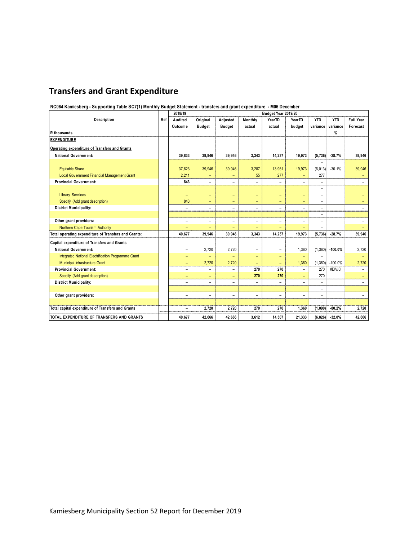# **Transfers and Grant Expenditure**

#### **NC064 Kamiesberg - Supporting Table SC7(1) Monthly Budget Statement - transfers and grant expenditure - M06 December**

|                                                      |     | 2018/19                  |                          |                          |                          |                          |                          |                          |            |                          |
|------------------------------------------------------|-----|--------------------------|--------------------------|--------------------------|--------------------------|--------------------------|--------------------------|--------------------------|------------|--------------------------|
| Description                                          | Ref | Audited                  | Original                 | Adjusted                 | Monthly                  | YearTD                   | YearTD                   | <b>YTD</b>               | <b>YTD</b> | Full Year                |
|                                                      |     | Outcome                  | <b>Budget</b>            | <b>Budget</b>            | actual                   | actual                   | budget                   | variance                 | variance   | Forecast                 |
| R thousands                                          |     |                          |                          |                          |                          |                          |                          |                          | %          |                          |
| <b>EXPENDITURE</b>                                   |     |                          |                          |                          |                          |                          |                          |                          |            |                          |
| Operating expenditure of Transfers and Grants        |     |                          |                          |                          |                          |                          |                          |                          |            |                          |
| <b>National Government:</b>                          |     | 39.833                   | 39.946                   | 39.946                   | 3,343                    | 14.237                   | 19.973                   | (5,736)                  | $-28.7%$   | 39.946                   |
|                                                      |     |                          |                          |                          |                          |                          |                          |                          |            |                          |
| <b>Equitable Share</b>                               |     | 37,623                   | 39,946                   | 39,946                   | 3,287                    | 13,961                   | 19,973                   | (6,013)                  | $-30.1%$   | 39,946                   |
| Local Government Financial Management Grant          |     | 2,211                    |                          |                          | 55                       | 277                      |                          | 277                      |            | $\overline{\phantom{a}}$ |
| <b>Provincial Government:</b>                        |     | 843                      | $\overline{\phantom{0}}$ | $\overline{\phantom{0}}$ | -                        | $\overline{\phantom{0}}$ |                          | Ξ.                       |            | $\overline{\phantom{0}}$ |
|                                                      |     |                          |                          |                          |                          |                          |                          | -                        |            |                          |
| <b>Library Services</b>                              |     | $\qquad \qquad -$        |                          | ۳                        | $\overline{\phantom{0}}$ | -                        | -                        | $\overline{\phantom{0}}$ |            |                          |
| Specify (Add grant description)                      |     | 843                      | -                        | ۳                        | ۳                        | -                        | ۳                        | $\overline{\phantom{0}}$ |            | $-$                      |
| <b>District Municipality:</b>                        |     | $\qquad \qquad -$        | -                        | $\overline{\phantom{0}}$ | -                        | -                        | -                        | ÷,                       |            |                          |
|                                                      |     |                          |                          |                          |                          |                          |                          | -                        |            |                          |
| Other grant providers:                               |     | $\overline{a}$           | $\qquad \qquad$          | $\overline{\phantom{0}}$ | -                        | -                        |                          | -                        |            | $\overline{\phantom{a}}$ |
| Northern Cape Tourism Authority                      |     |                          |                          |                          |                          | -                        |                          |                          |            |                          |
| Total operating expenditure of Transfers and Grants: |     | 40.677                   | 39.946                   | 39.946                   | 3.343                    | 14.237                   | 19.973                   | (5,736)                  | $-28.7%$   | 39.946                   |
| Capital expenditure of Transfers and Grants          |     |                          |                          |                          |                          |                          |                          |                          |            |                          |
| <b>National Government:</b>                          |     | $\qquad \qquad -$        | 2,720                    | 2,720                    | -                        | $\qquad \qquad -$        | 1,360                    | (1,360)                  | $-100.0%$  | 2,720                    |
| Integrated National Electrification Programme Grant  |     | $\qquad \qquad -$        | $\overline{\phantom{0}}$ | ۳                        | -                        | -                        | $\overline{\phantom{0}}$ |                          |            |                          |
| Municipal Infrastructure Grant                       |     | -                        | 2,720                    | 2,720                    | -                        | ۳                        | 1,360                    | (1,360)                  | $-100.0%$  | 2,720                    |
| <b>Provincial Government:</b>                        |     | -                        | $\overline{\phantom{0}}$ | -                        | 270                      | 270                      | ۳                        | 270                      | #DIV/0!    | $\equiv$                 |
| Specify (Add grant description)                      |     | $\overline{\phantom{0}}$ | -                        | ۰                        | 270                      | 270                      |                          | 270                      |            |                          |
| <b>District Municipality:</b>                        |     | $\overline{\phantom{0}}$ | ۰                        | $\overline{\phantom{0}}$ | ۳                        | -                        |                          | -                        |            |                          |
|                                                      |     |                          |                          |                          |                          |                          |                          | $\overline{\phantom{0}}$ |            |                          |
| Other grant providers:                               |     | $\qquad \qquad -$        | ۰                        | $\overline{\phantom{0}}$ | -                        | $\overline{\phantom{0}}$ | $\overline{a}$           | $\overline{\phantom{0}}$ |            | $\overline{\phantom{0}}$ |
|                                                      |     |                          |                          |                          |                          |                          |                          |                          |            |                          |
| Total capital expenditure of Transfers and Grants    |     | $\overline{\phantom{a}}$ | 2,720                    | 2,720                    | 270                      | 270                      | 1,360                    | (1,090)                  | $-80.2%$   | 2.720                    |
| TOTAL EXPENDITURE OF TRANSFERS AND GRANTS            |     | 40,677                   | 42,666                   | 42,666                   | 3,612                    | 14,507                   | 21,333                   | (6,826)                  | $-32.0%$   | 42,666                   |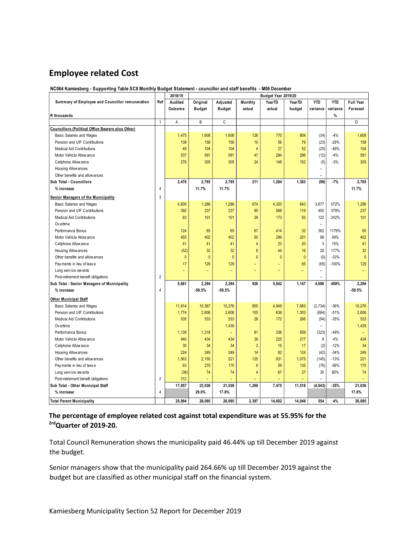# **Employee related Cost**

**NC064 Kamiesberg - Supporting Table SC8 Monthly Budget Statement - councillor and staff benefits - M06 December**

|                                                          | 2018/19<br>Budget Year 2019/20 |              |               |                |                |              |              |            |            |                          |
|----------------------------------------------------------|--------------------------------|--------------|---------------|----------------|----------------|--------------|--------------|------------|------------|--------------------------|
| Summary of Employee and Councillor remuneration          | Ref                            | Audited      | Original      | Adjusted       | Monthly        | YearTD       | YearTD       | <b>YTD</b> | <b>YTD</b> | <b>Full Year</b>         |
|                                                          |                                | Outcome      | <b>Budget</b> | <b>Budget</b>  | actual         | actual       | budget       | variance   | variance   | Forecast                 |
| R thousands                                              |                                |              |               |                |                |              |              |            | %          |                          |
|                                                          | $\mathbf{1}$                   | A            | B             | C              |                |              |              |            |            | D                        |
| <b>Councillors (Political Office Bearers plus Other)</b> |                                |              |               |                |                |              |              |            |            |                          |
| <b>Basic Salaries and Wages</b>                          |                                | 1,475        | 1,608         | 1,608          | 126            | 770          | 804          | (34)       | $-4%$      | 1,608                    |
| Pension and UIF Contributions                            |                                | 138          | 158           | 158            | 10             | 56           | 79           | (23)       | $-29%$     | 158                      |
| <b>Medical Aid Contributions</b>                         |                                | 49           | 104           | 104            | $\overline{4}$ | 27           | 52           | (25)       | $-49%$     | 104                      |
| Motor Vehicle Allow ance                                 |                                | 537          | 591           | 591            | 47             | 284          | 296          | (12)       | $-4%$      | 591                      |
| Cellphone Allow ance                                     |                                | 276          | 305           | 305            | 24             | 148          | 152          | (5)        | $-3%$      | 305                      |
| Housing Allow ances                                      |                                |              |               |                |                |              |              | $\equiv$   |            |                          |
| Other benefits and allow ances                           |                                |              |               |                |                |              |              |            |            |                          |
| Sub Total - Councillors                                  |                                | 2,476        | 2,765         | 2,765          | 211            | 1,284        | 1,383        | (99)       | $-7%$      | 2,765                    |
| % increase                                               | 4                              |              | 11.7%         | 11.7%          |                |              |              |            |            | 11.7%                    |
| <b>Senior Managers of the Municipality</b>               | 3                              |              |               |                |                |              |              |            |            |                          |
| Basic Salaries and Wages                                 |                                | 4,600        | 1,286         | 1,286          | 674            | 4,320        | 643          | 3,677      | 572%       | 1,286                    |
| Pension and UIF Contributions                            |                                | 392          | 237           | 237            | 95             | 568          | 119          | 450        | 379%       | 237                      |
| <b>Medical Aid Contributions</b>                         |                                | 83           | 101           | 101            | 29             | 173          | 50           | 122        | 242%       | 101                      |
| Ov ertime                                                |                                |              |               |                |                |              |              | ٠          |            |                          |
| Performance Bonus                                        |                                | 124          | 65            | 65             | 67             | 414          | 32           | 382        | 1179%      | 65                       |
| Motor Vehicle Allow ance                                 |                                | 455          | 402           | 402            | 50             | 299          | 201          | 98         | 49%        | 402                      |
| Cellphone Allow ance                                     |                                | 41           | 41            | 41             | 4              | 23           | 20           | 3          | 15%        | 41                       |
| Housing Allow ances                                      |                                | (52)         | 32            | 32             | 8              | 44           | 16           | 28         | 177%       | 32                       |
| Other benefits and allow ances                           |                                | $\mathbf{0}$ | $\mathbf{0}$  | $\overline{0}$ | $\mathbf{0}$   | $\mathbf{0}$ | $\mathbf{0}$ | (0)        | $-33%$     | $\pmb{0}$                |
| Payments in lieu of leave                                |                                | 17           | 129           | 129            | ÷,             | L,           | 65           | (65)       | $-100%$    | 129                      |
| Long service aw ards                                     |                                |              | Ξ             | ÷,             | $\equiv$       |              |              |            |            |                          |
| Post-retirement benefit obligations                      | $\overline{2}$                 |              |               |                |                |              |              |            |            |                          |
| Sub Total - Senior Managers of Municipality              |                                | 5,661        | 2,294         | 2,294          | 926            | 5,842        | 1,147        | 4,696      | 409%       | 2,294                    |
| % increase                                               | 4                              |              | $-59.5%$      | $-59.5%$       |                |              |              |            |            | $-59.5%$                 |
|                                                          |                                |              |               |                |                |              |              |            |            |                          |
| <b>Other Municipal Staff</b>                             |                                |              |               |                |                |              |              |            |            |                          |
| Basic Salaries and Wages                                 |                                | 11,814       | 15,367        | 15,276         | 855            | 4,949        | 7,683        | (2,734)    | $-36%$     | 15,276                   |
| Pension and UIF Contributions                            |                                | 1,774        | 2,606         | 2,606          | 105            | 639          | 1,303        | (664)      | $-51%$     | 2,606                    |
| <b>Medical Aid Contributions</b>                         |                                | 535          | 533           | 533            | 28             | 172          | 266          | (94)       | $-35%$     | 533                      |
| Ov ertime                                                |                                |              |               | 1,439          |                |              |              | $\equiv$   |            | 1,439                    |
| Performance Bonus                                        |                                | 1,138        | 1,318         |                | 81             | 336          | 659          | (323)      | $-49%$     | $\overline{\phantom{a}}$ |
| Motor Vehicle Allow ance                                 |                                | 440          | 434           | 434            | 38             | 225          | 217          | 8          | 4%         | 434                      |
| Cellphone Allow ance                                     |                                | 30           | 34            | 34             | $\overline{3}$ | 15           | 17           | (2)        | $-12%$     | 34                       |
| Housing Allow ances                                      |                                | 224          | 249           | 249            | 14             | 82           | 124          | (42)       | $-34%$     | 249                      |
| Other benefits and allow ances                           |                                | 1,563        | 2,150         | 221            | 125            | 931          | 1,075        | (145)      | $-13%$     | 221                      |
| Payments in lieu of leave                                |                                | 63           | 270           | 170            | 9              | 59           | 135          | (76)       | $-56%$     | 170                      |
| Long service aw ards                                     |                                | (36)         | 74            | 74             | $\overline{4}$ | 67           | 37           | 30         | 80%        | 74                       |
| Post-retirement benefit obligations                      | $\overline{2}$                 | 312          |               |                |                |              |              |            |            | Ξ                        |
| Sub Total - Other Municipal Staff                        |                                | 17,857       | 23,036        | 21,036         | 1,260          | 7,475        | 11,518       | (4, 043)   | $-35%$     | 21,036                   |
| % increase                                               | 4                              |              | 29.0%         | 17.8%          |                |              |              |            |            | 17.8%                    |
| <b>Total Parent Municipality</b>                         |                                | 25.994       | 28.095        | 26.095         | 2.397          | 14.602       | 14.048       | 554        | 4%         | 26.095                   |

**The percentage of employee related cost against total expenditure was at 55.95% for the 2rdQuarter of 2019-20.** 

Total Council Remuneration shows the municipality paid 46.44% up till December 2019 against the budget.

Senior managers show that the municipality paid 264.66% up till December 2019 against the budget but are classified as other municipal staff on the financial system.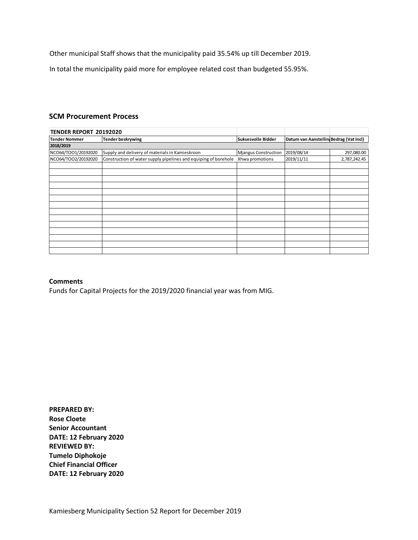Other municipal Staff shows that the municipality paid 35.54% up till December 2019.

In total the municipality paid more for employee related cost than budgeted 55.95%.

#### **SCM Procurement Process**

| TENDER REPORT 20192020 |                                                                 |                             |                                        |              |
|------------------------|-----------------------------------------------------------------|-----------------------------|----------------------------------------|--------------|
| <b>Tender Nommer</b>   | <b>Tender beskrywing</b>                                        | Suksesvolle Bidder          | Datum van Aanstellin Bedrag (Vat Incl) |              |
| 2018/2019              |                                                                 |                             |                                        |              |
| NCO64/TOO1/20192020    | Supply and delivery of materials in Kamieskroon                 | <b>Mjangus Construction</b> | 2019/08/14                             | 297,080.00   |
| NCO64/TOO2/20192020    | Construction of water supply pipelines and equiping of borehole | Xhwa promotions             | 2019/11/11                             | 2,787,242.45 |
|                        |                                                                 |                             |                                        |              |
|                        |                                                                 |                             |                                        |              |
|                        |                                                                 |                             |                                        |              |
|                        |                                                                 |                             |                                        |              |
|                        |                                                                 |                             |                                        |              |
|                        |                                                                 |                             |                                        |              |
|                        |                                                                 |                             |                                        |              |
|                        |                                                                 |                             |                                        |              |
|                        |                                                                 |                             |                                        |              |
|                        |                                                                 |                             |                                        |              |
|                        |                                                                 |                             |                                        |              |
|                        |                                                                 |                             |                                        |              |
|                        |                                                                 |                             |                                        |              |

#### **Comments**

Funds for Capital Projects for the 2019/2020 financial year was from MIG.

**PREPARED BY: Rose Cloete Senior Accountant DATE: 12 February 2020 REVIEWED BY: Tumelo Diphokoje Chief Financial Officer DATE: 12 February 2020**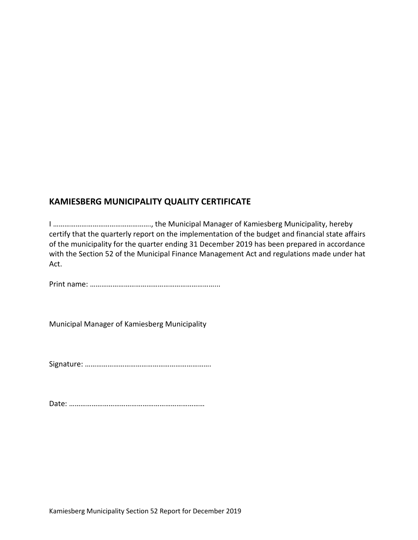## **KAMIESBERG MUNICIPALITY QUALITY CERTIFICATE**

I ……………………………………………., the Municipal Manager of Kamiesberg Municipality, hereby certify that the quarterly report on the implementation of the budget and financial state affairs of the municipality for the quarter ending 31 December 2019 has been prepared in accordance with the Section 52 of the Municipal Finance Management Act and regulations made under hat Act.

Print name: …………………………………………………………...

Municipal Manager of Kamiesberg Municipality

Signature: ………………………………………………………….

Date: ………………………………………………………………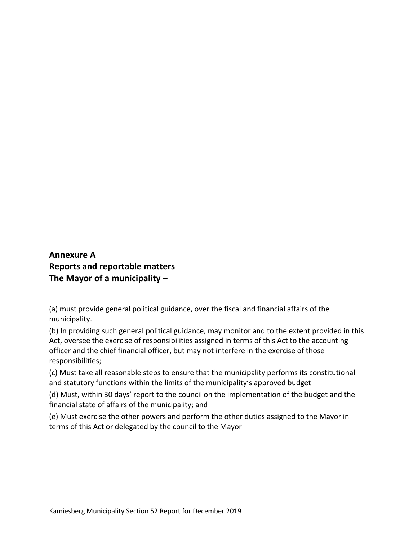# **Annexure A Reports and reportable matters The Mayor of a municipality –**

(a) must provide general political guidance, over the fiscal and financial affairs of the municipality.

(b) In providing such general political guidance, may monitor and to the extent provided in this Act, oversee the exercise of responsibilities assigned in terms of this Act to the accounting officer and the chief financial officer, but may not interfere in the exercise of those responsibilities;

(c) Must take all reasonable steps to ensure that the municipality performs its constitutional and statutory functions within the limits of the municipality's approved budget

(d) Must, within 30 days' report to the council on the implementation of the budget and the financial state of affairs of the municipality; and

(e) Must exercise the other powers and perform the other duties assigned to the Mayor in terms of this Act or delegated by the council to the Mayor